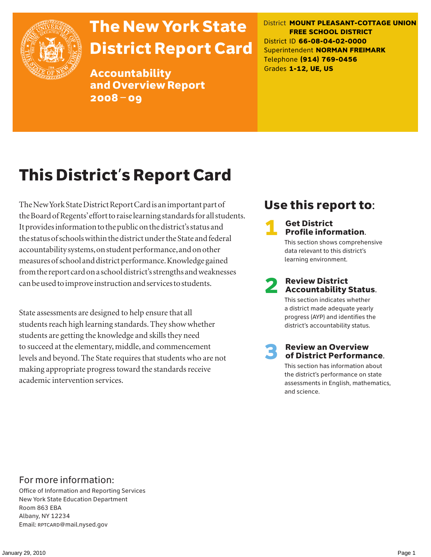

# The New York State District Report Card

Accountability and Overview Report 2008–09

District **MOUNT PLEASANT-COTTAGE UNION FREE SCHOOL DISTRICT** District ID **66-08-04-02-0000** Superintendent **NORMAN FREIMARK** Telephone **(914) 769-0456** Grades **1-12, UE, US**

# This District's Report Card

The New York State District Report Card is an important part of the Board of Regents' effort to raise learning standards for all students. It provides information to the public on the district's status and the status of schools within the district under the State and federal accountability systems, on student performance, and on other measures of school and district performance. Knowledge gained from the report card on a school district's strengths and weaknesses can be used to improve instruction and services to students.

State assessments are designed to help ensure that all students reach high learning standards. They show whether students are getting the knowledge and skills they need to succeed at the elementary, middle, and commencement levels and beyond. The State requires that students who are not making appropriate progress toward the standards receive academic intervention services.

# Use this report to:

### **Get District** Profile information.

This section shows comprehensive data relevant to this district's learning environment.

# **2** Review District<br>Accountability Status.

This section indicates whether a district made adequate yearly progress (AYP) and identifies the district's accountability status.

# **3** Review an Overview<br>
of District Performance.

This section has information about the district's performance on state assessments in English, mathematics, and science.

### For more information:

Office of Information and Reporting Services New York State Education Department Room 863 EBA Albany, NY 12234 Email: RPTCARD@mail.nysed.gov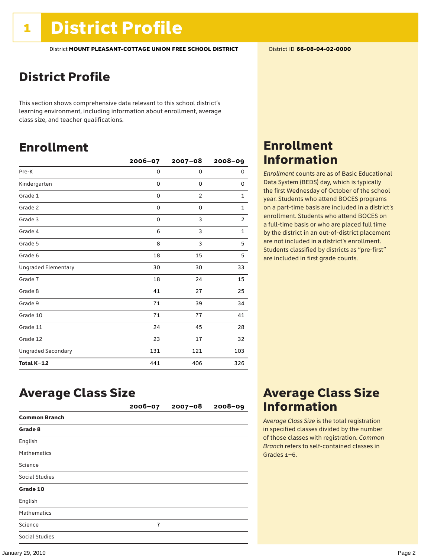## District Profile

This section shows comprehensive data relevant to this school district's learning environment, including information about enrollment, average class size, and teacher qualifications.

## Enrollment

|                            | $2006 - 07$ | $2007 - 08$    | $2008 - 09$    |
|----------------------------|-------------|----------------|----------------|
| Pre-K                      | 0           | 0              | 0              |
| Kindergarten               | 0           | 0              | 0              |
| Grade 1                    | 0           | $\overline{2}$ | 1              |
| Grade 2                    | 0           | 0              | $\mathbf 1$    |
| Grade 3                    | 0           | 3              | $\overline{c}$ |
| Grade 4                    | 6           | 3              | $\mathbf{1}$   |
| Grade 5                    | 8           | 3              | 5              |
| Grade 6                    | 18          | 15             | 5              |
| <b>Ungraded Elementary</b> | 30          | 30             | 33             |
| Grade 7                    | 18          | 24             | 15             |
| Grade 8                    | 41          | 27             | 25             |
| Grade 9                    | 71          | 39             | 34             |
| Grade 10                   | 71          | 77             | 41             |
| Grade 11                   | 24          | 45             | 28             |
| Grade 12                   | 23          | 17             | 32             |
| <b>Ungraded Secondary</b>  | 131         | 121            | 103            |
| Total K-12                 | 441         | 406            | 326            |

## Enrollment Information

*Enrollment* counts are as of Basic Educational Data System (BEDS) day, which is typically the first Wednesday of October of the school year. Students who attend BOCES programs on a part-time basis are included in a district's enrollment. Students who attend BOCES on a full-time basis or who are placed full time by the district in an out-of-district placement are not included in a district's enrollment. Students classified by districts as "pre-first" are included in first grade counts.

## Average Class Size

|                      | $2006 - 07$    | $2007 - 08$ | $2008 - 09$ |
|----------------------|----------------|-------------|-------------|
| <b>Common Branch</b> |                |             |             |
| Grade 8              |                |             |             |
| English              |                |             |             |
| <b>Mathematics</b>   |                |             |             |
| Science              |                |             |             |
| Social Studies       |                |             |             |
| Grade 10             |                |             |             |
| English              |                |             |             |
| <b>Mathematics</b>   |                |             |             |
| Science              | $\overline{7}$ |             |             |
| Social Studies       |                |             |             |

### Average Class Size Information

*Average Class Size* is the total registration in specified classes divided by the number of those classes with registration. *Common Branch* refers to self-contained classes in Grades 1–6.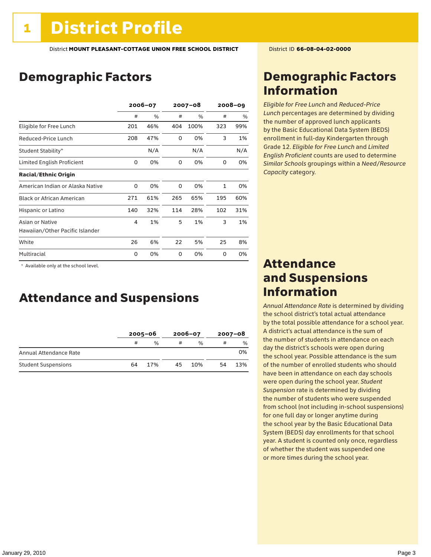## Demographic Factors

|                                  | 2006-07 |     | $2007 - 08$ |      | $2008 - 09$  |     |
|----------------------------------|---------|-----|-------------|------|--------------|-----|
|                                  | #       | %   | #           | $\%$ | #            | %   |
| Eligible for Free Lunch          | 201     | 46% | 404         | 100% | 323          | 99% |
| Reduced-Price Lunch              | 208     | 47% | 0           | 0%   | 3            | 1%  |
| Student Stability*               |         | N/A |             | N/A  |              | N/A |
| Limited English Proficient       | 0       | 0%  | 0           | 0%   | 0            | 0%  |
| <b>Racial/Ethnic Origin</b>      |         |     |             |      |              |     |
| American Indian or Alaska Native | 0       | 0%  | 0           | 0%   | $\mathbf{1}$ | 0%  |
| <b>Black or African American</b> | 271     | 61% | 265         | 65%  | 195          | 60% |
| Hispanic or Latino               | 140     | 32% | 114         | 28%  | 102          | 31% |
| Asian or Native                  | 4       | 1%  | 5           | 1%   | 3            | 1%  |
| Hawaiian/Other Pacific Islander  |         |     |             |      |              |     |
| White                            | 26      | 6%  | 22          | 5%   | 25           | 8%  |
| Multiracial                      | 0       | 0%  | 0           | 0%   | 0            | 0%  |

\* Available only at the school level.

### Attendance and Suspensions

|                            | $2005 - 06$ |               | $2006 - 07$ |               | $2007 - 08$ |      |
|----------------------------|-------------|---------------|-------------|---------------|-------------|------|
|                            | #           | $\frac{0}{6}$ | #           | $\frac{0}{0}$ | #           | $\%$ |
| Annual Attendance Rate     |             |               |             |               |             | 0%   |
| <b>Student Suspensions</b> | 64          | 17%           | 45          | 10%           | 54          | 13%  |

### Demographic Factors Information

*Eligible for Free Lunch* and *Reduced*-*Price Lunch* percentages are determined by dividing the number of approved lunch applicants by the Basic Educational Data System (BEDS) enrollment in full-day Kindergarten through Grade 12. *Eligible for Free Lunch* and *Limited English Proficient* counts are used to determine *Similar Schools* groupings within a *Need*/*Resource Capacity* category.

### Attendance and Suspensions Information

*Annual Attendance Rate* is determined by dividing the school district's total actual attendance by the total possible attendance for a school year. A district's actual attendance is the sum of the number of students in attendance on each day the district's schools were open during the school year. Possible attendance is the sum of the number of enrolled students who should have been in attendance on each day schools were open during the school year. *Student Suspension* rate is determined by dividing the number of students who were suspended from school (not including in-school suspensions) for one full day or longer anytime during the school year by the Basic Educational Data System (BEDS) day enrollments for that school year. A student is counted only once, regardless of whether the student was suspended one or more times during the school year.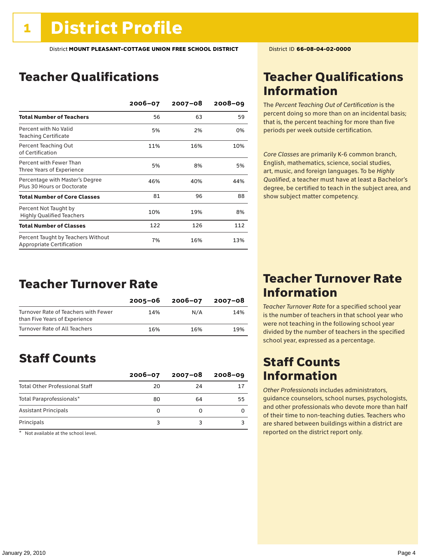## Teacher Qualifications

|                                                                 | $2006 - 07$ | $2007 - 08$ | $2008 - 09$ |
|-----------------------------------------------------------------|-------------|-------------|-------------|
| <b>Total Number of Teachers</b>                                 | 56          | 63          | 59          |
| Percent with No Valid<br><b>Teaching Certificate</b>            | 5%          | 2%          | 0%          |
| Percent Teaching Out<br>of Certification                        | 11%         | 16%         | 10%         |
| Percent with Fewer Than<br>Three Years of Experience            | 5%          | 8%          | 5%          |
| Percentage with Master's Degree<br>Plus 30 Hours or Doctorate   | 46%         | 40%         | 44%         |
| <b>Total Number of Core Classes</b>                             | 81          | 96          | 88          |
| Percent Not Taught by<br><b>Highly Qualified Teachers</b>       | 10%         | 19%         | 8%          |
| <b>Total Number of Classes</b>                                  | 122         | 126         | 112         |
| Percent Taught by Teachers Without<br>Appropriate Certification | 7%          | 16%         | 13%         |

### Teacher Turnover Rate

|                                                                       | $2005 - 06$ | 2006-07 | 2007-08 |
|-----------------------------------------------------------------------|-------------|---------|---------|
| Turnover Rate of Teachers with Fewer<br>than Five Years of Experience | 14%         | N/A     | 14%     |
| Turnover Rate of All Teachers                                         | 16%         | 16%     | 19%     |

### Staff Counts

|                                       | $2006 - 07$ | 2007-08 | $2008 - 09$ |
|---------------------------------------|-------------|---------|-------------|
| <b>Total Other Professional Staff</b> | 20          | 24      | 17          |
| Total Paraprofessionals*              | 80          | 64      | 55          |
| <b>Assistant Principals</b>           |             |         |             |
| Principals                            |             |         |             |

 $*$  Not available at the school level.

### Teacher Qualifications Information

The *Percent Teaching Out of Certification* is the percent doing so more than on an incidental basis; that is, the percent teaching for more than five periods per week outside certification.

*Core Classes* are primarily K-6 common branch, English, mathematics, science, social studies, art, music, and foreign languages. To be *Highly Qualified*, a teacher must have at least a Bachelor's degree, be certified to teach in the subject area, and show subject matter competency.

### Teacher Turnover Rate Information

*Teacher Turnover Rate* for a specified school year is the number of teachers in that school year who were not teaching in the following school year divided by the number of teachers in the specified school year, expressed as a percentage.

### Staff Counts Information

*Other Professionals* includes administrators, guidance counselors, school nurses, psychologists, and other professionals who devote more than half of their time to non-teaching duties. Teachers who are shared between buildings within a district are reported on the district report only.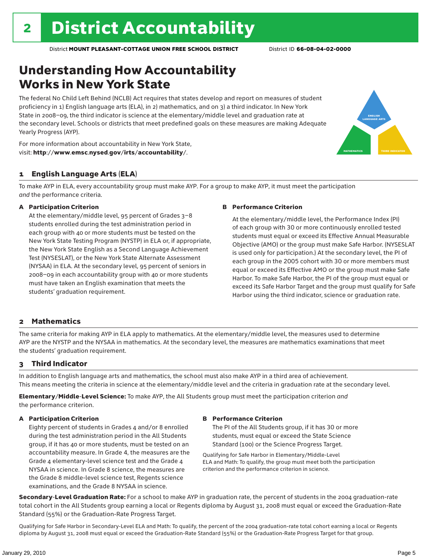# Understanding How Accountability Works in New York State

The federal No Child Left Behind (NCLB) Act requires that states develop and report on measures of student proficiency in 1) English language arts (ELA), in 2) mathematics, and on 3) a third indicator. In New York State in 2008–09, the third indicator is science at the elementary/middle level and graduation rate at the secondary level. Schools or districts that meet predefined goals on these measures are making Adequate Yearly Progress (AYP).



For more information about accountability in New York State, visit: http://www.emsc.nysed.gov/irts/accountability/.

### 1 English Language Arts (ELA)

To make AYP in ELA, every accountability group must make AYP. For a group to make AYP, it must meet the participation *and* the performance criteria.

#### A Participation Criterion

At the elementary/middle level, 95 percent of Grades 3–8 students enrolled during the test administration period in each group with 40 or more students must be tested on the New York State Testing Program (NYSTP) in ELA or, if appropriate, the New York State English as a Second Language Achievement Test (NYSESLAT), or the New York State Alternate Assessment (NYSAA) in ELA. At the secondary level, 95 percent of seniors in 2008–09 in each accountability group with 40 or more students must have taken an English examination that meets the students' graduation requirement.

#### B Performance Criterion

At the elementary/middle level, the Performance Index (PI) of each group with 30 or more continuously enrolled tested students must equal or exceed its Effective Annual Measurable Objective (AMO) or the group must make Safe Harbor. (NYSESLAT is used only for participation.) At the secondary level, the PI of each group in the 2005 cohort with 30 or more members must equal or exceed its Effective AMO or the group must make Safe Harbor. To make Safe Harbor, the PI of the group must equal or exceed its Safe Harbor Target and the group must qualify for Safe Harbor using the third indicator, science or graduation rate.

#### 2 Mathematics

The same criteria for making AYP in ELA apply to mathematics. At the elementary/middle level, the measures used to determine AYP are the NYSTP and the NYSAA in mathematics. At the secondary level, the measures are mathematics examinations that meet the students' graduation requirement.

### 3 Third Indicator

In addition to English language arts and mathematics, the school must also make AYP in a third area of achievement. This means meeting the criteria in science at the elementary/middle level and the criteria in graduation rate at the secondary level.

Elementary/Middle-Level Science: To make AYP, the All Students group must meet the participation criterion *and* the performance criterion.

#### A Participation Criterion

Eighty percent of students in Grades 4 and/or 8 enrolled during the test administration period in the All Students group, if it has 40 or more students, must be tested on an accountability measure. In Grade 4, the measures are the Grade 4 elementary-level science test and the Grade 4 NYSAA in science. In Grade 8 science, the measures are the Grade 8 middle-level science test, Regents science examinations, and the Grade 8 NYSAA in science.

#### B Performance Criterion

The PI of the All Students group, if it has 30 or more students, must equal or exceed the State Science Standard (100) or the Science Progress Target.

Qualifying for Safe Harbor in Elementary/Middle-Level ELA and Math: To qualify, the group must meet both the participation criterion and the performance criterion in science.

Secondary-Level Graduation Rate: For a school to make AYP in graduation rate, the percent of students in the 2004 graduation-rate total cohort in the All Students group earning a local or Regents diploma by August 31, 2008 must equal or exceed the Graduation-Rate Standard (55%) or the Graduation-Rate Progress Target.

Qualifying for Safe Harbor in Secondary-Level ELA and Math: To qualify, the percent of the 2004 graduation-rate total cohort earning a local or Regents diploma by August 31, 2008 must equal or exceed the Graduation-Rate Standard (55%) or the Graduation-Rate Progress Target for that group.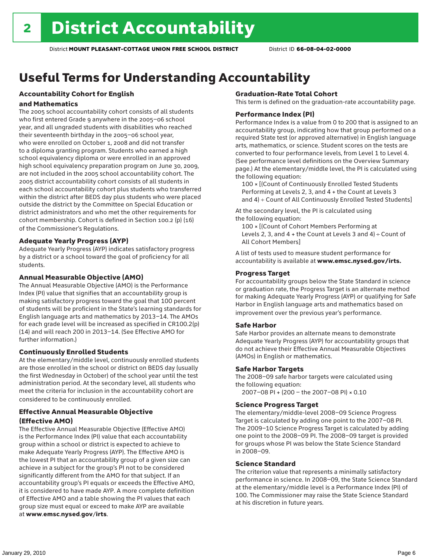# Useful Terms for Understanding Accountability

### Accountability Cohort for English

#### and Mathematics

The 2005 school accountability cohort consists of all students who first entered Grade 9 anywhere in the 2005–06 school year, and all ungraded students with disabilities who reached their seventeenth birthday in the 2005–06 school year, who were enrolled on October 1, 2008 and did not transfer to a diploma granting program. Students who earned a high school equivalency diploma or were enrolled in an approved high school equivalency preparation program on June 30, 2009, are not included in the 2005 school accountability cohort. The 2005 district accountability cohort consists of all students in each school accountability cohort plus students who transferred within the district after BEDS day plus students who were placed outside the district by the Committee on Special Education or district administrators and who met the other requirements for cohort membership. Cohort is defined in Section 100.2 (p) (16) of the Commissioner's Regulations.

#### Adequate Yearly Progress (AYP)

Adequate Yearly Progress (AYP) indicates satisfactory progress by a district or a school toward the goal of proficiency for all students.

#### Annual Measurable Objective (AMO)

The Annual Measurable Objective (AMO) is the Performance Index (PI) value that signifies that an accountability group is making satisfactory progress toward the goal that 100 percent of students will be proficient in the State's learning standards for English language arts and mathematics by 2013–14. The AMOs for each grade level will be increased as specified in CR100.2(p) (14) and will reach 200 in 2013–14. (See Effective AMO for further information.)

#### Continuously Enrolled Students

At the elementary/middle level, continuously enrolled students are those enrolled in the school or district on BEDS day (usually the first Wednesday in October) of the school year until the test administration period. At the secondary level, all students who meet the criteria for inclusion in the accountability cohort are considered to be continuously enrolled.

#### Effective Annual Measurable Objective (Effective AMO)

The Effective Annual Measurable Objective (Effective AMO) is the Performance Index (PI) value that each accountability group within a school or district is expected to achieve to make Adequate Yearly Progress (AYP). The Effective AMO is the lowest PI that an accountability group of a given size can achieve in a subject for the group's PI not to be considered significantly different from the AMO for that subject. If an accountability group's PI equals or exceeds the Effective AMO, it is considered to have made AYP. A more complete definition of Effective AMO and a table showing the PI values that each group size must equal or exceed to make AYP are available at www.emsc.nysed.gov/irts.

#### Graduation-Rate Total Cohort

This term is defined on the graduation-rate accountability page.

#### Performance Index (PI)

Performance Index is a value from 0 to 200 that is assigned to an accountability group, indicating how that group performed on a required State test (or approved alternative) in English language arts, mathematics, or science. Student scores on the tests are converted to four performance levels, from Level 1 to Level 4. (See performance level definitions on the Overview Summary page.) At the elementary/middle level, the PI is calculated using the following equation:

100 × [(Count of Continuously Enrolled Tested Students Performing at Levels 2, 3, and 4 + the Count at Levels 3 and 4) ÷ Count of All Continuously Enrolled Tested Students]

At the secondary level, the PI is calculated using the following equation:

100 × [(Count of Cohort Members Performing at Levels 2, 3, and  $4 +$  the Count at Levels 3 and  $4) \div$  Count of All Cohort Members]

A list of tests used to measure student performance for accountability is available at www.emsc.nysed.gov/irts.

#### Progress Target

For accountability groups below the State Standard in science or graduation rate, the Progress Target is an alternate method for making Adequate Yearly Progress (AYP) or qualifying for Safe Harbor in English language arts and mathematics based on improvement over the previous year's performance.

#### Safe Harbor

Safe Harbor provides an alternate means to demonstrate Adequate Yearly Progress (AYP) for accountability groups that do not achieve their Effective Annual Measurable Objectives (AMOs) in English or mathematics.

#### Safe Harbor Targets

The 2008–09 safe harbor targets were calculated using the following equation:

2007–08 PI + (200 – the 2007–08 PI) × 0.10

#### Science Progress Target

The elementary/middle-level 2008–09 Science Progress Target is calculated by adding one point to the 2007–08 PI. The 2009–10 Science Progress Target is calculated by adding one point to the 2008–09 PI. The 2008–09 target is provided for groups whose PI was below the State Science Standard in 2008–09.

#### Science Standard

The criterion value that represents a minimally satisfactory performance in science. In 2008–09, the State Science Standard at the elementary/middle level is a Performance Index (PI) of 100. The Commissioner may raise the State Science Standard at his discretion in future years.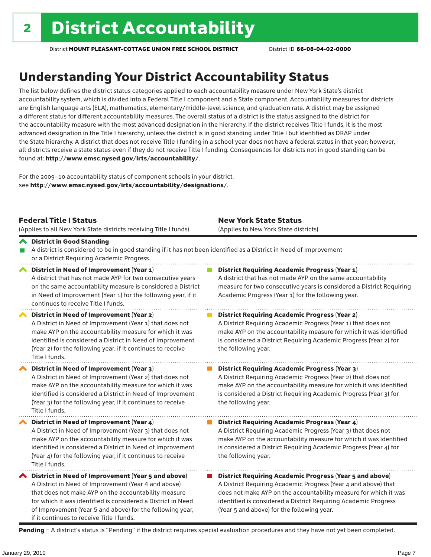# Understanding Your District Accountability Status

The list below defines the district status categories applied to each accountability measure under New York State's district accountability system, which is divided into a Federal Title I component and a State component. Accountability measures for districts are English language arts (ELA), mathematics, elementary/middle-level science, and graduation rate. A district may be assigned a different status for different accountability measures. The overall status of a district is the status assigned to the district for the accountability measure with the most advanced designation in the hierarchy. If the district receives Title I funds, it is the most advanced designation in the Title I hierarchy, unless the district is in good standing under Title I but identified as DRAP under the State hierarchy. A district that does not receive Title I funding in a school year does not have a federal status in that year; however, all districts receive a state status even if they do not receive Title I funding. Consequences for districts not in good standing can be found at: http://www.emsc.nysed.gov/irts/accountability/.

For the 2009–10 accountability status of component schools in your district, see http://www.emsc.nysed.gov/irts/accountability/designations/.

|                       | <b>Federal Title I Status</b><br>(Applies to all New York State districts receiving Title I funds)                                                                                                                                                                                                                                             | <b>New York State Status</b><br>(Applies to New York State districts) |                                                                                                                                                                                                                                                                                                                       |  |  |  |
|-----------------------|------------------------------------------------------------------------------------------------------------------------------------------------------------------------------------------------------------------------------------------------------------------------------------------------------------------------------------------------|-----------------------------------------------------------------------|-----------------------------------------------------------------------------------------------------------------------------------------------------------------------------------------------------------------------------------------------------------------------------------------------------------------------|--|--|--|
|                       | ← District in Good Standing<br>A district is considered to be in good standing if it has not been identified as a District in Need of Improvement<br>or a District Requiring Academic Progress.                                                                                                                                                |                                                                       |                                                                                                                                                                                                                                                                                                                       |  |  |  |
| $\blacktriangleright$ | District in Need of Improvement (Year 1)<br>A district that has not made AYP for two consecutive years<br>on the same accountability measure is considered a District<br>in Need of Improvement (Year 1) for the following year, if it<br>continues to receive Title I funds.                                                                  |                                                                       | <b>District Requiring Academic Progress (Year 1)</b><br>A district that has not made AYP on the same accountability<br>measure for two consecutive years is considered a District Requiring<br>Academic Progress (Year 1) for the following year.                                                                     |  |  |  |
|                       | District in Need of Improvement (Year 2)<br>A District in Need of Improvement (Year 1) that does not<br>make AYP on the accountability measure for which it was<br>identified is considered a District in Need of Improvement<br>(Year 2) for the following year, if it continues to receive<br>Title I funds.                                 |                                                                       | <b>District Requiring Academic Progress (Year 2)</b><br>A District Requiring Academic Progress (Year 1) that does not<br>make AYP on the accountability measure for which it was identified<br>is considered a District Requiring Academic Progress (Year 2) for<br>the following year.                               |  |  |  |
|                       | District in Need of Improvement (Year 3)<br>A District in Need of Improvement (Year 2) that does not<br>make AYP on the accountability measure for which it was<br>identified is considered a District in Need of Improvement<br>(Year 3) for the following year, if it continues to receive<br>Title I funds.                                 |                                                                       | <b>District Requiring Academic Progress (Year 3)</b><br>A District Requiring Academic Progress (Year 2) that does not<br>make AYP on the accountability measure for which it was identified<br>is considered a District Requiring Academic Progress (Year 3) for<br>the following year.                               |  |  |  |
|                       | District in Need of Improvement (Year 4)<br>A District in Need of Improvement (Year 3) that does not<br>make AYP on the accountability measure for which it was<br>identified is considered a District in Need of Improvement<br>(Year 4) for the following year, if it continues to receive<br>Title I funds.                                 |                                                                       | <b>District Requiring Academic Progress (Year 4)</b><br>A District Requiring Academic Progress (Year 3) that does not<br>make AYP on the accountability measure for which it was identified<br>is considered a District Requiring Academic Progress (Year 4) for<br>the following year.                               |  |  |  |
|                       | ◆ District in Need of Improvement (Year 5 and above)<br>A District in Need of Improvement (Year 4 and above)<br>that does not make AYP on the accountability measure<br>for which it was identified is considered a District in Need<br>of Improvement (Year 5 and above) for the following year,<br>if it continues to receive Title I funds. |                                                                       | <b>District Requiring Academic Progress (Year 5 and above)</b><br>A District Requiring Academic Progress (Year 4 and above) that<br>does not make AYP on the accountability measure for which it was<br>identified is considered a District Requiring Academic Progress<br>(Year 5 and above) for the following year. |  |  |  |

Pending - A district's status is "Pending" if the district requires special evaluation procedures and they have not yet been completed.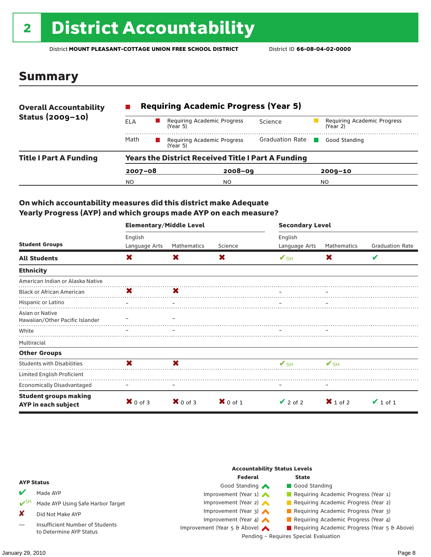# <sup>2</sup> District Accountability

District **MOUNT PLEASANT-COTTAGE UNION FREE SCHOOL DISTRICT** District ID **66-08-04-02-0000**

### Summary

| <b>Overall Accountability</b><br>Status (2009-10) | <b>Requiring Academic Progress (Year 5)</b>               |                                         |                        |                                         |  |  |  |  |
|---------------------------------------------------|-----------------------------------------------------------|-----------------------------------------|------------------------|-----------------------------------------|--|--|--|--|
|                                                   | ELA                                                       | Requiring Academic Progress<br>(Year 5) | Science                | Requiring Academic Progress<br>(Year 2) |  |  |  |  |
|                                                   | Math                                                      | Requiring Academic Progress<br>(Year 5) | <b>Graduation Rate</b> | Good Standing                           |  |  |  |  |
| <b>Title I Part A Funding</b>                     | <b>Years the District Received Title I Part A Funding</b> |                                         |                        |                                         |  |  |  |  |
|                                                   | $2007 - 08$                                               | $2008 - 09$                             |                        | $2009 - 10$                             |  |  |  |  |
|                                                   | N <sub>O</sub>                                            | NO.                                     |                        | NO.                                     |  |  |  |  |

#### On which accountability measures did this district make Adequate Yearly Progress (AYP) and which groups made AYP on each measure?

|                                                     | <b>Elementary/Middle Level</b> |                     |                     | <b>Secondary Level</b>   |                     |                        |  |
|-----------------------------------------------------|--------------------------------|---------------------|---------------------|--------------------------|---------------------|------------------------|--|
|                                                     | English                        |                     |                     | English                  |                     |                        |  |
| <b>Student Groups</b>                               | Language Arts                  | Mathematics         | Science             | Language Arts            | Mathematics         | <b>Graduation Rate</b> |  |
| <b>All Students</b>                                 | X                              | X                   | X                   | $\mathbf{V}_{\text{SH}}$ | X                   | V                      |  |
| <b>Ethnicity</b>                                    |                                |                     |                     |                          |                     |                        |  |
| American Indian or Alaska Native                    |                                |                     |                     |                          |                     |                        |  |
| <b>Black or African American</b>                    | X                              | X                   |                     |                          |                     |                        |  |
| Hispanic or Latino                                  |                                |                     |                     |                          |                     |                        |  |
| Asian or Native<br>Hawaiian/Other Pacific Islander  |                                |                     |                     |                          |                     |                        |  |
| White                                               |                                |                     |                     |                          |                     |                        |  |
| Multiracial                                         |                                |                     |                     |                          |                     |                        |  |
| <b>Other Groups</b>                                 |                                |                     |                     |                          |                     |                        |  |
| <b>Students with Disabilities</b>                   | X                              | X                   |                     | $\mathbf{V}_{\text{SH}}$ | $V$ SH              |                        |  |
| Limited English Proficient                          |                                |                     |                     |                          |                     |                        |  |
| <b>Economically Disadvantaged</b>                   |                                |                     |                     |                          |                     |                        |  |
| <b>Student groups making</b><br>AYP in each subject | $\mathbf{X}$ 0 of 3            | $\mathbf{X}$ 0 of 3 | $\mathbf{X}$ 0 of 1 | $\vee$ 2 of 2            | $\mathbf{X}$ 1 of 2 | $\vee$ 1 of 1          |  |

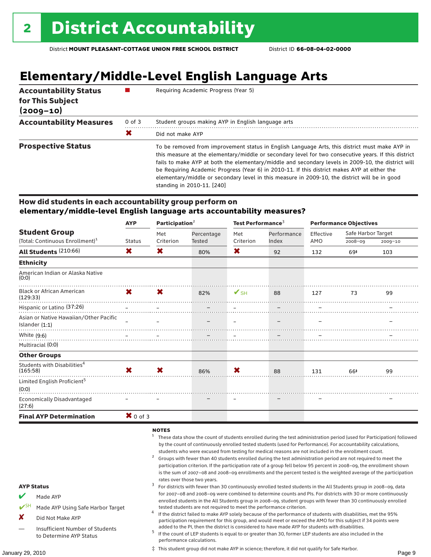# **Elementary/Middle-Level English Language Arts**

| <b>Accountability Status</b><br>for This Subject<br>$(2009 - 10)$ |            | Requiring Academic Progress (Year 5)                                                                                                                                                                                                                                                                                                                                                                                                                                                                                                        |  |  |  |
|-------------------------------------------------------------------|------------|---------------------------------------------------------------------------------------------------------------------------------------------------------------------------------------------------------------------------------------------------------------------------------------------------------------------------------------------------------------------------------------------------------------------------------------------------------------------------------------------------------------------------------------------|--|--|--|
| <b>Accountability Measures</b>                                    | $0$ of $3$ | Student groups making AYP in English language arts                                                                                                                                                                                                                                                                                                                                                                                                                                                                                          |  |  |  |
|                                                                   | X          | Did not make AYP                                                                                                                                                                                                                                                                                                                                                                                                                                                                                                                            |  |  |  |
| <b>Prospective Status</b>                                         |            | To be removed from improvement status in English Language Arts, this district must make AYP in<br>this measure at the elementary/middle or secondary level for two consecutive years. If this district<br>fails to make AYP at both the elementary/middle and secondary levels in 2009-10, the district will<br>be Requiring Academic Progress (Year 6) in 2010-11. If this district makes AYP at either the<br>elementary/middle or secondary level in this measure in 2009-10, the district will be in good<br>standing in 2010-11. [240] |  |  |  |

#### How did students in each accountability group perform on **elementary/middle-level English language arts accountability measures?**

|                                                            | <b>AYP</b>                | Participation $2$ |            | Test Performance <sup>3</sup> |             | <b>Performance Objectives</b> |                    |             |
|------------------------------------------------------------|---------------------------|-------------------|------------|-------------------------------|-------------|-------------------------------|--------------------|-------------|
| <b>Student Group</b>                                       |                           | Met               | Percentage | Met                           | Performance | Effective                     | Safe Harbor Target |             |
| (Total: Continuous Enrollment) <sup>1</sup>                | Status                    | Criterion         | Tested     | Criterion                     | Index       | AMO                           | $2008 - 09$        | $2009 - 10$ |
| All Students (210:66)                                      | X.                        | X                 | 80%        | X                             | 92          | 132                           | 69‡                | 103         |
| <b>Ethnicity</b>                                           |                           |                   |            |                               |             |                               |                    |             |
| American Indian or Alaska Native<br>(0:0)                  |                           |                   |            |                               |             |                               |                    |             |
| <b>Black or African American</b><br>(129:33)               | $\mathsf{X}$ $\mathsf{X}$ |                   | 82% SH     |                               | 88          | 127                           | - 73               | 99          |
| Hispanic or Latino (37:26)                                 |                           |                   |            |                               |             |                               |                    |             |
| Asian or Native Hawaiian/Other Pacific<br>Islander $(1:1)$ |                           |                   |            |                               |             |                               |                    |             |
| White (9:6)                                                |                           |                   |            |                               |             |                               |                    |             |
| Multiracial (0:0)                                          |                           |                   |            |                               |             |                               |                    |             |
| <b>Other Groups</b>                                        |                           |                   |            |                               |             |                               |                    |             |
| Students with Disabilities <sup>4</sup><br>(165:58)        | $\mathbf{x}$              | <b>X</b>          | 86%        | X                             | 88          | 131                           | 66‡                | 99          |
| Limited English Proficient <sup>5</sup><br>(0:0)           |                           |                   |            |                               |             |                               |                    |             |
| <b>Economically Disadvantaged</b><br>(27:6)                |                           |                   |            |                               |             |                               |                    |             |
| <b>Final AYP Determination</b>                             | $\mathbf{X}$ 0 of 3       |                   |            |                               |             |                               |                    |             |

NOTES

- <sup>1</sup> These data show the count of students enrolled during the test administration period (used for Participation) followed by the count of continuously enrolled tested students (used for Performance). For accountability calculations,
- students who were excused from testing for medical reasons are not included in the enrollment count.<br><sup>2</sup> Groups with fewer than 40 students enrolled during the test administration period are not required to meet the participation criterion. If the participation rate of a group fell below 95 percent in 2008–09, the enrollment shown is the sum of 2007–08 and 2008–09 enrollments and the percent tested is the weighted average of the participation
- rates over those two years.<br><sup>3</sup> For districts with fewer than 30 continuously enrolled tested students in the All Students group in 2008–09, data for 2007–08 and 2008–09 were combined to determine counts and PIs. For districts with 30 or more continuously enrolled students in the All Students group in 2008–09, student groups with fewer than 30 continuously enrolled
- tested students are not required to meet the performance criterion. <sup>4</sup> If the district failed to make AYP solely because of the performance of students with disabilities, met the 95% participation requirement for this group, and would meet or exceed the AMO for this subject if 34 points were
- added to the PI, then the district is considered to have made AYP for students with disabilities.<br><sup>5</sup> If the count of LEP students is equal to or greater than 30, former LEP students are also included in the performance calculations.

‡ This student group did not make AYP in science; therefore, it did not qualify for Safe Harbor.

AYP Status

Made AYP

X Did Not Make AYP

Made AYP Using Safe Harbor Target

Insufficient Number of Students to Determine AYP Status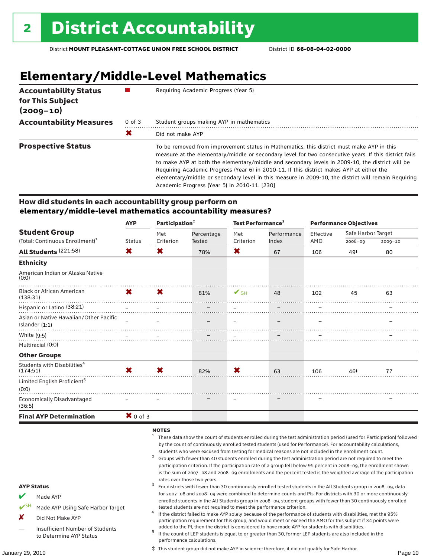# **Elementary/Middle-Level Mathematics**

| <b>Accountability Status</b><br>for This Subject<br>$(2009 - 10)$ |            | Requiring Academic Progress (Year 5)                                                                                                                                                                                                                                                                                                                                                                                                                                                                                                                      |
|-------------------------------------------------------------------|------------|-----------------------------------------------------------------------------------------------------------------------------------------------------------------------------------------------------------------------------------------------------------------------------------------------------------------------------------------------------------------------------------------------------------------------------------------------------------------------------------------------------------------------------------------------------------|
| <b>Accountability Measures</b>                                    | $0$ of $3$ | Student groups making AYP in mathematics                                                                                                                                                                                                                                                                                                                                                                                                                                                                                                                  |
|                                                                   | Х          | Did not make AYP                                                                                                                                                                                                                                                                                                                                                                                                                                                                                                                                          |
| <b>Prospective Status</b>                                         |            | To be removed from improvement status in Mathematics, this district must make AYP in this<br>measure at the elementary/middle or secondary level for two consecutive years. If this district fails<br>to make AYP at both the elementary/middle and secondary levels in 2009-10, the district will be<br>Requiring Academic Progress (Year 6) in 2010-11. If this district makes AYP at either the<br>elementary/middle or secondary level in this measure in 2009-10, the district will remain Requiring<br>Academic Progress (Year 5) in 2010-11. [230] |

#### How did students in each accountability group perform on **elementary/middle-level mathematics accountability measures?**

| <b>Student Group</b>                                       | <b>AYP</b>          | Participation $2$ |                                                                                                                                                                                                                                                                                                                                      | Test Performance <sup>3</sup> |             | <b>Performance Objectives</b> |                    |             |
|------------------------------------------------------------|---------------------|-------------------|--------------------------------------------------------------------------------------------------------------------------------------------------------------------------------------------------------------------------------------------------------------------------------------------------------------------------------------|-------------------------------|-------------|-------------------------------|--------------------|-------------|
|                                                            |                     | Met               | Percentage                                                                                                                                                                                                                                                                                                                           | Met                           | Performance | Effective                     | Safe Harbor Target |             |
| (Total: Continuous Enrollment) <sup>1</sup>                | Status              | Criterion         | Tested                                                                                                                                                                                                                                                                                                                               | Criterion                     | Index       | AMO                           | 2008-09            | $2009 - 10$ |
| All Students (221:58)                                      | X.                  | X                 | 78%                                                                                                                                                                                                                                                                                                                                  | X                             | 67          | 106                           | 49#                | 80          |
| <b>Ethnicity</b>                                           |                     |                   |                                                                                                                                                                                                                                                                                                                                      |                               |             |                               |                    |             |
| American Indian or Alaska Native<br>(0:0)                  |                     |                   |                                                                                                                                                                                                                                                                                                                                      |                               |             |                               |                    |             |
| <b>Black or African American</b><br>(138:31)               |                     |                   | $\textsf{X} \hspace{1.5mm} \textsf{S}$ $\textsf{S}$ $\textsf{S}$ $\textsf{S}$ $\textsf{S}$ $\textsf{S}$ $\textsf{S}$ $\textsf{S}$ $\textsf{S}$ $\textsf{S}$ $\textsf{S}$ $\textsf{S}$ $\textsf{S}$ $\textsf{S}$ $\textsf{S}$ $\textsf{S}$ $\textsf{S}$ $\textsf{S}$ $\textsf{S}$ $\textsf{S}$ $\textsf{S}$ $\textsf{S}$ $\textsf{S}$ |                               | 48          | 102                           | 45                 | 63          |
| Hispanic or Latino (38:21)                                 |                     |                   |                                                                                                                                                                                                                                                                                                                                      |                               |             |                               |                    |             |
| Asian or Native Hawaiian/Other Pacific<br>Islander $(1:1)$ |                     |                   |                                                                                                                                                                                                                                                                                                                                      |                               |             |                               |                    |             |
|                                                            |                     |                   |                                                                                                                                                                                                                                                                                                                                      |                               |             |                               |                    |             |
| Multiracial (0:0)                                          |                     |                   |                                                                                                                                                                                                                                                                                                                                      |                               |             |                               |                    |             |
| <b>Other Groups</b>                                        |                     |                   |                                                                                                                                                                                                                                                                                                                                      |                               |             |                               |                    |             |
| Students with Disabilities <sup>4</sup><br>(174:51)        | $\mathbf{x}$        | <b>X</b>          | 82%                                                                                                                                                                                                                                                                                                                                  | X                             | 63          | 106                           | 46‡                | 77          |
| Limited English Proficient <sup>5</sup><br>(0:0)           |                     |                   |                                                                                                                                                                                                                                                                                                                                      |                               |             |                               |                    |             |
| Economically Disadvantaged<br>(36:5)                       |                     |                   |                                                                                                                                                                                                                                                                                                                                      |                               |             |                               |                    |             |
| <b>Final AYP Determination</b>                             | $\mathbf{X}$ 0 of 3 |                   |                                                                                                                                                                                                                                                                                                                                      |                               |             |                               |                    |             |

NOTES

- <sup>1</sup> These data show the count of students enrolled during the test administration period (used for Participation) followed by the count of continuously enrolled tested students (used for Performance). For accountability calculations,
- students who were excused from testing for medical reasons are not included in the enrollment count.<br><sup>2</sup> Groups with fewer than 40 students enrolled during the test administration period are not required to meet the participation criterion. If the participation rate of a group fell below 95 percent in 2008–09, the enrollment shown is the sum of 2007–08 and 2008–09 enrollments and the percent tested is the weighted average of the participation rates over those two years.<br><sup>3</sup> For districts with fewer than 30 continuously enrolled tested students in the All Students group in 2008–09, data

for 2007–08 and 2008–09 were combined to determine counts and PIs. For districts with 30 or more continuously enrolled students in the All Students group in 2008–09, student groups with fewer than 30 continuously enrolled tested students are not required to meet the performance criterion. <sup>4</sup> If the district failed to make AYP solely because of the performance of students with disabilities, met the 95% participation requirement for this group, and would meet or exceed the AMO for this subject if 34 points were

- AYP Status
- Made AYP
- Made AYP Using Safe Harbor Target
- X Did Not Make AYP
- Insufficient Number of Students to Determine AYP Status

added to the PI, then the district is considered to have made AYP for students with disabilities.<br><sup>5</sup> If the count of LEP students is equal to or greater than 30, former LEP students are also included in the performance calculations. ‡ This student group did not make AYP in science; therefore, it did not qualify for Safe Harbor.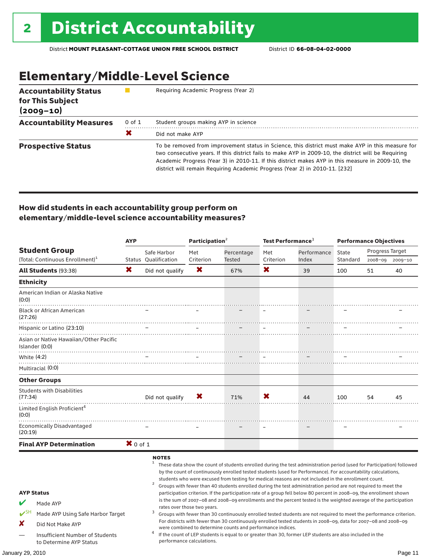# Elementary/Middle-Level Science

| <b>Accountability Status</b><br>for This Subject<br>$(2009 - 10)$ |        | Requiring Academic Progress (Year 2)                                                                                                                                                                                                                                                                                                                                                          |
|-------------------------------------------------------------------|--------|-----------------------------------------------------------------------------------------------------------------------------------------------------------------------------------------------------------------------------------------------------------------------------------------------------------------------------------------------------------------------------------------------|
| <b>Accountability Measures</b>                                    | 0 of 1 | Student groups making AYP in science                                                                                                                                                                                                                                                                                                                                                          |
|                                                                   | Х      | Did not make AYP                                                                                                                                                                                                                                                                                                                                                                              |
| <b>Prospective Status</b>                                         |        | To be removed from improvement status in Science, this district must make AYP in this measure for<br>two consecutive years. If this district fails to make AYP in 2009-10, the district will be Requiring<br>Academic Progress (Year 3) in 2010-11. If this district makes AYP in this measure in 2009-10, the<br>district will remain Requiring Academic Progress (Year 2) in 2010-11. [232] |

### How did students in each accountability group perform on elementary/middle-level science accountability measures?

|                                                                                       | <b>AYP</b> |                                                     |                             | Participation <sup>2</sup>                                 |           | Test Performance <sup>3</sup>                                                                                                                                                                                                                                                                                                                                                                                                                                                                                                                                                                                                                                                                                                                                                                                                          |          | <b>Performance Objectives</b> |                 |  |
|---------------------------------------------------------------------------------------|------------|-----------------------------------------------------|-----------------------------|------------------------------------------------------------|-----------|----------------------------------------------------------------------------------------------------------------------------------------------------------------------------------------------------------------------------------------------------------------------------------------------------------------------------------------------------------------------------------------------------------------------------------------------------------------------------------------------------------------------------------------------------------------------------------------------------------------------------------------------------------------------------------------------------------------------------------------------------------------------------------------------------------------------------------------|----------|-------------------------------|-----------------|--|
| <b>Student Group</b>                                                                  |            | Safe Harbor                                         | Met                         | Percentage                                                 | Met       | Performance                                                                                                                                                                                                                                                                                                                                                                                                                                                                                                                                                                                                                                                                                                                                                                                                                            | State    | Progress Target               |                 |  |
| (Total: Continuous Enrollment) <sup>1</sup>                                           |            | Status Oualification                                | Criterion                   | Tested                                                     | Criterion | Index                                                                                                                                                                                                                                                                                                                                                                                                                                                                                                                                                                                                                                                                                                                                                                                                                                  | Standard |                               | 2008-09 2009-10 |  |
| All Students (93:38)                                                                  | X          | Did not qualify                                     | X                           | 67%                                                        | X         | 39                                                                                                                                                                                                                                                                                                                                                                                                                                                                                                                                                                                                                                                                                                                                                                                                                                     | 100      | 51                            | 40              |  |
| <b>Ethnicity</b>                                                                      |            |                                                     |                             |                                                            |           |                                                                                                                                                                                                                                                                                                                                                                                                                                                                                                                                                                                                                                                                                                                                                                                                                                        |          |                               |                 |  |
| American Indian or Alaska Native<br>(0:0)                                             |            |                                                     |                             |                                                            |           |                                                                                                                                                                                                                                                                                                                                                                                                                                                                                                                                                                                                                                                                                                                                                                                                                                        |          |                               |                 |  |
| <b>Black or African American</b><br>(27:26)                                           |            |                                                     |                             |                                                            |           |                                                                                                                                                                                                                                                                                                                                                                                                                                                                                                                                                                                                                                                                                                                                                                                                                                        |          |                               |                 |  |
| Hispanic or Latino (23:10)                                                            |            |                                                     |                             | $\equiv$                                                   | $\equiv$  |                                                                                                                                                                                                                                                                                                                                                                                                                                                                                                                                                                                                                                                                                                                                                                                                                                        |          |                               |                 |  |
| Asian or Native Hawaiian/Other Pacific<br>Islander (0:0)                              |            |                                                     |                             |                                                            |           |                                                                                                                                                                                                                                                                                                                                                                                                                                                                                                                                                                                                                                                                                                                                                                                                                                        |          |                               |                 |  |
| White (4:2)                                                                           |            |                                                     |                             |                                                            |           |                                                                                                                                                                                                                                                                                                                                                                                                                                                                                                                                                                                                                                                                                                                                                                                                                                        |          |                               |                 |  |
| Multiracial (0:0)                                                                     |            |                                                     |                             |                                                            |           |                                                                                                                                                                                                                                                                                                                                                                                                                                                                                                                                                                                                                                                                                                                                                                                                                                        |          |                               |                 |  |
| <b>Other Groups</b>                                                                   |            |                                                     |                             |                                                            |           |                                                                                                                                                                                                                                                                                                                                                                                                                                                                                                                                                                                                                                                                                                                                                                                                                                        |          |                               |                 |  |
| <b>Students with Disabilities</b><br>(77:34)                                          |            | Did not qualify                                     | X                           | 71%                                                        | X         | 44                                                                                                                                                                                                                                                                                                                                                                                                                                                                                                                                                                                                                                                                                                                                                                                                                                     | 100      | 54                            | 45              |  |
| Limited English Proficient <sup>4</sup><br>(0:0)                                      |            |                                                     |                             |                                                            |           |                                                                                                                                                                                                                                                                                                                                                                                                                                                                                                                                                                                                                                                                                                                                                                                                                                        |          |                               |                 |  |
| Economically Disadvantaged<br>(20:19)                                                 |            |                                                     |                             |                                                            |           |                                                                                                                                                                                                                                                                                                                                                                                                                                                                                                                                                                                                                                                                                                                                                                                                                                        |          |                               |                 |  |
| <b>Final AYP Determination</b>                                                        | $X$ 0 of 1 |                                                     |                             |                                                            |           |                                                                                                                                                                                                                                                                                                                                                                                                                                                                                                                                                                                                                                                                                                                                                                                                                                        |          |                               |                 |  |
| <b>AYP Status</b><br>Made AYP<br>$V^{\text{SH}}$<br>Made AYP Using Safe Harbor Target |            | <b>NOTES</b><br>$\mathbf{1}$<br>$\overline{2}$<br>3 | rates over those two years. |                                                            |           | These data show the count of students enrolled during the test administration period (used for Participation) followed<br>by the count of continuously enrolled tested students (used for Performance). For accountability calculations,<br>students who were excused from testing for medical reasons are not included in the enrollment count.<br>Groups with fewer than 40 students enrolled during the test administration period are not required to meet the<br>participation criterion. If the participation rate of a group fell below 80 percent in 2008-09, the enrollment shown<br>is the sum of 2007-08 and 2008-09 enrollments and the percent tested is the weighted average of the participation<br>Groups with fewer than 30 continuously enrolled tested students are not required to meet the performance criterion. |          |                               |                 |  |
| x                                                                                     |            |                                                     |                             |                                                            |           | For districts with fewer than 30 continuously enrolled tested students in 2008-09, data for 2007-08 and 2008-09                                                                                                                                                                                                                                                                                                                                                                                                                                                                                                                                                                                                                                                                                                                        |          |                               |                 |  |
| Did Not Make AYP                                                                      |            |                                                     |                             | were combined to determine counts and performance indices. |           |                                                                                                                                                                                                                                                                                                                                                                                                                                                                                                                                                                                                                                                                                                                                                                                                                                        |          |                               |                 |  |
| Insufficient Number of Students<br>to Determine AYP Status                            |            | 4                                                   | performance calculations.   |                                                            |           | If the count of LEP students is equal to or greater than 30, former LEP students are also included in the                                                                                                                                                                                                                                                                                                                                                                                                                                                                                                                                                                                                                                                                                                                              |          |                               |                 |  |
| January 29, 2010                                                                      |            |                                                     |                             |                                                            |           |                                                                                                                                                                                                                                                                                                                                                                                                                                                                                                                                                                                                                                                                                                                                                                                                                                        |          |                               | Page 11         |  |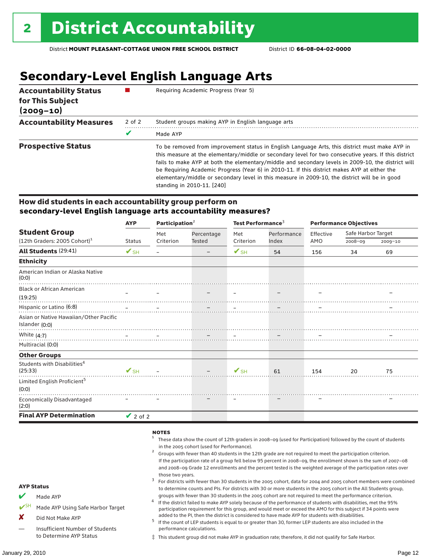## **Secondary-Level English Language Arts**

| <b>Accountability Status</b><br>for This Subject<br>$(2009 - 10)$ |        | Requiring Academic Progress (Year 5)                                                                                                                                                                                                                                                                                                                                                                                                                                                                                                        |
|-------------------------------------------------------------------|--------|---------------------------------------------------------------------------------------------------------------------------------------------------------------------------------------------------------------------------------------------------------------------------------------------------------------------------------------------------------------------------------------------------------------------------------------------------------------------------------------------------------------------------------------------|
| <b>Accountability Measures</b>                                    | 2 of 2 | Student groups making AYP in English language arts                                                                                                                                                                                                                                                                                                                                                                                                                                                                                          |
|                                                                   | V      | Made AYP                                                                                                                                                                                                                                                                                                                                                                                                                                                                                                                                    |
| <b>Prospective Status</b>                                         |        | To be removed from improvement status in English Language Arts, this district must make AYP in<br>this measure at the elementary/middle or secondary level for two consecutive years. If this district<br>fails to make AYP at both the elementary/middle and secondary levels in 2009-10, the district will<br>be Requiring Academic Progress (Year 6) in 2010-11. If this district makes AYP at either the<br>elementary/middle or secondary level in this measure in 2009-10, the district will be in good<br>standing in 2010-11. [240] |

#### How did students in each accountability group perform on **secondary-level English language arts accountability measures?**

|                                                          | <b>AYP</b>               |           | Participation $2$        |                          | Test Performance <sup>3</sup> |           | <b>Performance Objectives</b> |             |  |
|----------------------------------------------------------|--------------------------|-----------|--------------------------|--------------------------|-------------------------------|-----------|-------------------------------|-------------|--|
| <b>Student Group</b>                                     |                          | Met       | Percentage               | Met                      | Performance<br>Index          | Effective | Safe Harbor Target            |             |  |
| $(12th$ Graders: 2005 Cohort) <sup>1</sup>               | <b>Status</b>            | Criterion | <b>Tested</b>            | Criterion                |                               | AMO       | $2008 - 09$                   | $2009 - 10$ |  |
| All Students (29:41)                                     | $\mathbf{V}_{\text{SH}}$ |           |                          | $\mathbf{V}_{\text{SH}}$ | 54                            | 156       | 34                            | 69          |  |
| <b>Ethnicity</b>                                         |                          |           |                          |                          |                               |           |                               |             |  |
| American Indian or Alaska Native<br>(0:0)                |                          |           |                          |                          |                               |           |                               |             |  |
| <b>Black or African American</b>                         | $\equiv$                 |           |                          |                          |                               |           |                               |             |  |
| (19:25)                                                  |                          |           |                          |                          |                               |           |                               |             |  |
| Hispanic or Latino (6:8)                                 |                          |           |                          |                          |                               |           |                               |             |  |
| Asian or Native Hawaiian/Other Pacific<br>Islander (0:0) |                          |           |                          |                          |                               |           |                               |             |  |
| White $(4:7)$                                            |                          |           |                          |                          |                               |           |                               |             |  |
| Multiracial (0:0)                                        |                          |           |                          |                          |                               |           |                               |             |  |
| <b>Other Groups</b>                                      |                          |           |                          |                          |                               |           |                               |             |  |
| Students with Disabilities <sup>4</sup><br>(25:33)       | $\mathbf{V}$ SH $-$      |           | <b>Contract Contract</b> | $V$ SH                   | 61                            | 154       | 20                            | 75          |  |
| Limited English Proficient <sup>5</sup><br>(0:0)         |                          |           |                          |                          |                               |           |                               |             |  |
| <b>Economically Disadvantaged</b><br>(2:0)               |                          |           |                          |                          |                               |           |                               |             |  |
| <b>Final AYP Determination</b>                           | $\vee$ 2 of 2            |           |                          |                          |                               |           |                               |             |  |

#### **NOTES**

- <sup>1</sup> These data show the count of 12th graders in 2008–09 (used for Participation) followed by the count of students in the 2005 cohort (used for Performance).<br>Groups with fewer than 40 students in the 12th grade are not required to meet the participation criterion.
- If the participation rate of a group fell below 95 percent in 2008–09, the enrollment shown is the sum of 2007–08 and 2008–09 Grade 12 enrollments and the percent tested is the weighted average of the participation rates over
- those two years.<br><sup>3</sup> For districts with fewer than 30 students in the 2005 cohort, data for 2004 and 2005 cohort members were combined to determine counts and PIs. For districts with 30 or more students in the 2005 cohort in the All Students group,
- groups with fewer than 30 students in the 2005 cohort are not required to meet the performance criterion.<br>If the district failed to make AYP solely because of the performance of students with disabilities, met the 95% participation requirement for this group, and would meet or exceed the AMO for this subject if 34 points were
- added to the PI, then the district is considered to have made AYP for students with disabilities.<br> $^5$  If the count of LEP students is equal to or greater than 30, former LEP students are also included in the performance calculations.
- ‡ This student group did not make AYP in graduation rate; therefore, it did not qualify for Safe Harbor.

AYP Status

Made AYP

X Did Not Make AYP

Made AYP Using Safe Harbor Target

— Insufficient Number of Students to Determine AYP Status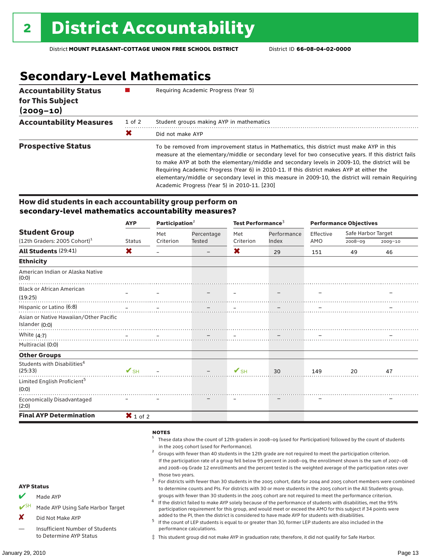# **Secondary-Level Mathematics**

| <b>Accountability Status</b><br>for This Subject<br>$(2009 - 10)$ |            | Requiring Academic Progress (Year 5)                                                                                                                                                                                                                                                                                                                                                                                                                                                                                                                      |
|-------------------------------------------------------------------|------------|-----------------------------------------------------------------------------------------------------------------------------------------------------------------------------------------------------------------------------------------------------------------------------------------------------------------------------------------------------------------------------------------------------------------------------------------------------------------------------------------------------------------------------------------------------------|
| <b>Accountability Measures</b>                                    | $1$ of $2$ | Student groups making AYP in mathematics                                                                                                                                                                                                                                                                                                                                                                                                                                                                                                                  |
|                                                                   | Х          | Did not make AYP                                                                                                                                                                                                                                                                                                                                                                                                                                                                                                                                          |
| <b>Prospective Status</b>                                         |            | To be removed from improvement status in Mathematics, this district must make AYP in this<br>measure at the elementary/middle or secondary level for two consecutive years. If this district fails<br>to make AYP at both the elementary/middle and secondary levels in 2009-10, the district will be<br>Requiring Academic Progress (Year 6) in 2010-11. If this district makes AYP at either the<br>elementary/middle or secondary level in this measure in 2009-10, the district will remain Requiring<br>Academic Progress (Year 5) in 2010-11. [230] |

#### How did students in each accountability group perform on **secondary-level mathematics accountability measures?**

|                                                          | <b>AYP</b>             | Participation <sup>2</sup> |                                                                                                                                                                                                                                                                                                                                                                                                                                                                        | Test Performance <sup>3</sup> |                      | <b>Performance Objectives</b> |                    |             |
|----------------------------------------------------------|------------------------|----------------------------|------------------------------------------------------------------------------------------------------------------------------------------------------------------------------------------------------------------------------------------------------------------------------------------------------------------------------------------------------------------------------------------------------------------------------------------------------------------------|-------------------------------|----------------------|-------------------------------|--------------------|-------------|
| <b>Student Group</b>                                     |                        | Met                        | Percentage<br>Tested                                                                                                                                                                                                                                                                                                                                                                                                                                                   | Met                           | Performance<br>Index | Effective                     | Safe Harbor Target |             |
| $(12th$ Graders: 2005 Cohort) <sup>1</sup>               | <b>Status</b>          | Criterion                  |                                                                                                                                                                                                                                                                                                                                                                                                                                                                        | Criterion                     |                      | AMO                           | 2008-09            | $2009 - 10$ |
| All Students (29:41)                                     | X                      |                            | $\overline{\phantom{m}}$                                                                                                                                                                                                                                                                                                                                                                                                                                               | X                             | 29                   | 151                           | 49                 | 46          |
| <b>Ethnicity</b>                                         |                        |                            |                                                                                                                                                                                                                                                                                                                                                                                                                                                                        |                               |                      |                               |                    |             |
| American Indian or Alaska Native<br>(0:0)                |                        |                            |                                                                                                                                                                                                                                                                                                                                                                                                                                                                        |                               |                      |                               |                    |             |
| <b>Black or African American</b>                         |                        |                            |                                                                                                                                                                                                                                                                                                                                                                                                                                                                        |                               |                      |                               |                    |             |
| (19:25)                                                  |                        |                            |                                                                                                                                                                                                                                                                                                                                                                                                                                                                        |                               |                      |                               |                    |             |
|                                                          |                        |                            |                                                                                                                                                                                                                                                                                                                                                                                                                                                                        |                               |                      |                               |                    |             |
| Asian or Native Hawaiian/Other Pacific<br>Islander (0:0) |                        |                            |                                                                                                                                                                                                                                                                                                                                                                                                                                                                        |                               |                      |                               |                    |             |
| White (4:7)                                              |                        |                            |                                                                                                                                                                                                                                                                                                                                                                                                                                                                        |                               |                      |                               |                    |             |
| Multiracial (0:0)                                        |                        |                            |                                                                                                                                                                                                                                                                                                                                                                                                                                                                        |                               |                      |                               |                    |             |
| <b>Other Groups</b>                                      |                        |                            |                                                                                                                                                                                                                                                                                                                                                                                                                                                                        |                               |                      |                               |                    |             |
| Students with Disabilities <sup>4</sup><br>(25:33)       | $\sqrt{\mathsf{SH}}$ - |                            | $\frac{1}{\sqrt{2}}\left( \frac{1}{\sqrt{2}}\right) \left( \frac{1}{\sqrt{2}}\right) \left( \frac{1}{\sqrt{2}}\right) \left( \frac{1}{\sqrt{2}}\right) \left( \frac{1}{\sqrt{2}}\right) \left( \frac{1}{\sqrt{2}}\right) \left( \frac{1}{\sqrt{2}}\right) \left( \frac{1}{\sqrt{2}}\right) \left( \frac{1}{\sqrt{2}}\right) \left( \frac{1}{\sqrt{2}}\right) \left( \frac{1}{\sqrt{2}}\right) \left( \frac{1}{\sqrt{2}}\right) \left( \frac{1}{\sqrt{2}}\right) \left$ | $\mathcal{V}_{\mathsf{SH}}$   | 30                   | 149                           | 20                 | 47          |
| Limited English Proficient <sup>5</sup><br>(0:0)         |                        |                            |                                                                                                                                                                                                                                                                                                                                                                                                                                                                        |                               |                      |                               |                    |             |
| <b>Economically Disadvantaged</b><br>(2:0)               |                        |                            |                                                                                                                                                                                                                                                                                                                                                                                                                                                                        |                               |                      |                               |                    |             |
| <b>Final AYP Determination</b>                           | $\mathbf{X}$ 1 of 2    |                            |                                                                                                                                                                                                                                                                                                                                                                                                                                                                        |                               |                      |                               |                    |             |

#### **NOTES**

AYP Status  $M$  Made AYP Made AYP Using Safe Harbor Target X Did Not Make AYP — Insufficient Number of Students to Determine AYP Status <sup>1</sup> These data show the count of 12th graders in 2008–09 (used for Participation) followed by the count of students in the 2005 cohort (used for Performance).<br>Groups with fewer than 40 students in the 12th grade are not required to meet the participation criterion. If the participation rate of a group fell below 95 percent in 2008–09, the enrollment shown is the sum of 2007–08 and 2008–09 Grade 12 enrollments and the percent tested is the weighted average of the participation rates over those two years.<br><sup>3</sup> For districts with fewer than 30 students in the 2005 cohort, data for 2004 and 2005 cohort members were combined to determine counts and PIs. For districts with 30 or more students in the 2005 cohort in the All Students group, groups with fewer than 30 students in the 2005 cohort are not required to meet the performance criterion.<br>If the district failed to make AYP solely because of the performance of students with disabilities, met the 95% participation requirement for this group, and would meet or exceed the AMO for this subject if 34 points were added to the PI, then the district is considered to have made AYP for students with disabilities.<br> $^5$  If the count of LEP students is equal to or greater than 30, former LEP students are also included in the performance calculations. ‡ This student group did not make AYP in graduation rate; therefore, it did not qualify for Safe Harbor.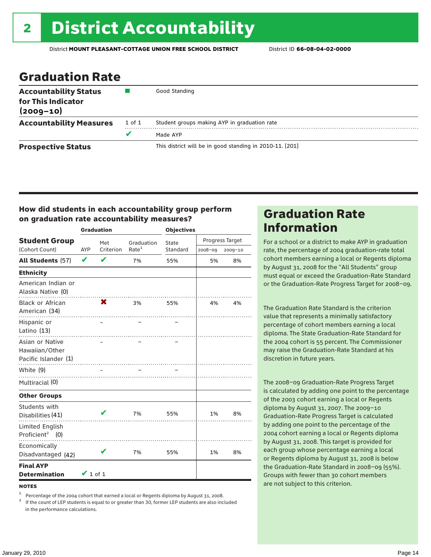### Graduation Rate

| <b>Accountability Status</b><br>for This Indicator<br>$(2009 - 10)$ |        | Good Standing                                            |
|---------------------------------------------------------------------|--------|----------------------------------------------------------|
| <b>Accountability Measures</b>                                      | 1 of 1 | Student groups making AYP in graduation rate             |
|                                                                     | v      | Made AYP                                                 |
| <b>Prospective Status</b>                                           |        | This district will be in good standing in 2010-11. [201] |

### How did students in each accountability group perform on graduation rate accountability measures?

|                                                           |               | <b>Graduation</b> |                   | <b>Objectives</b> |                 |             |  |
|-----------------------------------------------------------|---------------|-------------------|-------------------|-------------------|-----------------|-------------|--|
| <b>Student Group</b>                                      |               | Met               | Graduation        | State             | Progress Target |             |  |
| (Cohort Count)                                            | <b>AYP</b>    | Criterion         | Rate <sup>1</sup> | Standard          | 2008-09         | $2009 - 10$ |  |
| All Students (57)                                         | V             | V                 | 7%                | 55%               | 5%              | 8%          |  |
| <b>Ethnicity</b>                                          |               |                   |                   |                   |                 |             |  |
| American Indian or<br>Alaska Native (0)                   |               |                   |                   |                   |                 |             |  |
| <b>Black or African</b><br>American (34)                  |               | X                 | 3%                | 55%               | 4%              | 4%          |  |
| Hispanic or<br>Latino (13)                                |               |                   |                   |                   |                 |             |  |
| Asian or Native<br>Hawaiian/Other<br>Pacific Islander (1) |               |                   |                   |                   |                 |             |  |
| White (9)                                                 |               |                   |                   |                   |                 |             |  |
| Multiracial (0)                                           |               |                   |                   |                   |                 |             |  |
| <b>Other Groups</b>                                       |               |                   |                   |                   |                 |             |  |
| Students with<br>Disabilities (41)                        |               |                   | 7%                | 55%               | 1%              | 8%          |  |
| Limited English<br>Proficient <sup>2</sup> (0)            |               |                   |                   |                   |                 |             |  |
| Economically<br>Disadvantaged (42)                        |               |                   | 7%                | 55%               | 1%              | 8%          |  |
| <b>Final AYP</b><br><b>Determination</b>                  | $\vee$ 1 of 1 |                   |                   |                   |                 |             |  |

#### **NOTES**

<sup>1</sup> Percentage of the 2004 cohort that earned a local or Regents diploma by August 31, 2008.<br><sup>2</sup> If the count of LEP students is equal to or greater than 30, former LEP students are also included in the performance calculations.

### Graduation Rate Information

For a school or a district to make AYP in graduation rate, the percentage of 2004 graduation-rate total cohort members earning a local or Regents diploma by August 31, 2008 for the "All Students" group must equal or exceed the Graduation-Rate Standard or the Graduation-Rate Progress Target for 2008–09.

The Graduation Rate Standard is the criterion value that represents a minimally satisfactory percentage of cohort members earning a local diploma. The State Graduation-Rate Standard for the 2004 cohort is 55 percent. The Commissioner may raise the Graduation-Rate Standard at his discretion in future years.

The 2008–09 Graduation-Rate Progress Target is calculated by adding one point to the percentage of the 2003 cohort earning a local or Regents diploma by August 31, 2007. The 2009–10 Graduation-Rate Progress Target is calculated by adding one point to the percentage of the 2004 cohort earning a local or Regents diploma by August 31, 2008. This target is provided for each group whose percentage earning a local or Regents diploma by August 31, 2008 is below the Graduation-Rate Standard in 2008–09 (55%). Groups with fewer than 30 cohort members are not subject to this criterion.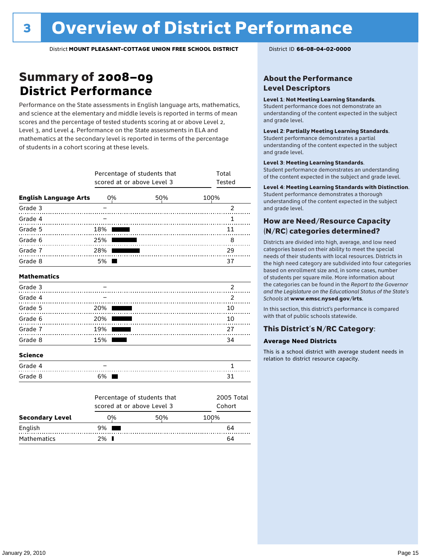### Summary of 2008–09 **District Performance**

Performance on the State assessments in English language arts, mathematics, and science at the elementary and middle levels is reported in terms of mean scores and the percentage of tested students scoring at or above Level 2, Level 3, and Level 4. Performance on the State assessments in ELA and mathematics at the secondary level is reported in terms of the percentage of students in a cohort scoring at these levels.

|                              | Percentage of students that<br>scored at or above Level 3 | Total<br>Tested             |                |
|------------------------------|-----------------------------------------------------------|-----------------------------|----------------|
| <b>English Language Arts</b> | 0%                                                        | 50%                         | 100%           |
| Grade 3                      |                                                           |                             | $\overline{2}$ |
| Grade 4                      |                                                           |                             | $\mathbf{1}$   |
| Grade 5<br>.                 | 18%                                                       |                             | 11             |
| Grade 6<br>.                 | 25%                                                       |                             | 8              |
| Grade 7                      | 28%                                                       |                             | 29             |
| Grade 8                      | 5% l                                                      |                             | 37             |
| <b>Mathematics</b>           |                                                           |                             |                |
| Grade 3                      |                                                           |                             | 2              |
| Grade 4                      |                                                           |                             | 2              |
| Grade 5                      | 20%                                                       |                             | 10             |
| Grade 6<br>.                 | 20%                                                       |                             | 10             |
| Grade 7                      | 19%                                                       |                             | 27             |
| Grade 8                      | 15%                                                       |                             | 34             |
| <b>Science</b>               |                                                           |                             |                |
| Grade 4                      |                                                           |                             | 1              |
| Grade 8                      | 6%                                                        |                             | 31             |
|                              |                                                           | Percentage of students that | 2005 Total     |
|                              |                                                           | scored at or above Level 3  | Cohort         |

| <b>Secondary Level</b> | በ% |  | 50% | 100% |    |
|------------------------|----|--|-----|------|----|
| English                | 9% |  |     |      | 64 |
| Mathematics            | ን% |  |     |      | 64 |

#### About the Performance Level Descriptors

#### Level 1: Not Meeting Learning Standards.

Student performance does not demonstrate an understanding of the content expected in the subject and grade level.

#### Level 2: Partially Meeting Learning Standards.

Student performance demonstrates a partial understanding of the content expected in the subject and grade level.

#### Level 3: Meeting Learning Standards.

Student performance demonstrates an understanding of the content expected in the subject and grade level.

#### Level 4: Meeting Learning Standards with Distinction.

Student performance demonstrates a thorough understanding of the content expected in the subject and grade level.

#### How are Need/Resource Capacity (N/RC) categories determined?

Districts are divided into high, average, and low need categories based on their ability to meet the special needs of their students with local resources. Districts in the high need category are subdivided into four categories based on enrollment size and, in some cases, number of students per square mile. More information about the categories can be found in the *Report to the Governor and the Legislature on the Educational Status of the State's Schools* at www.emsc.nysed.gov/irts.

In this section, this district's performance is compared with that of public schools statewide.

#### This District's N/RC Category:

#### **Average Need Districts**

This is a school district with average student needs in relation to district resource capacity.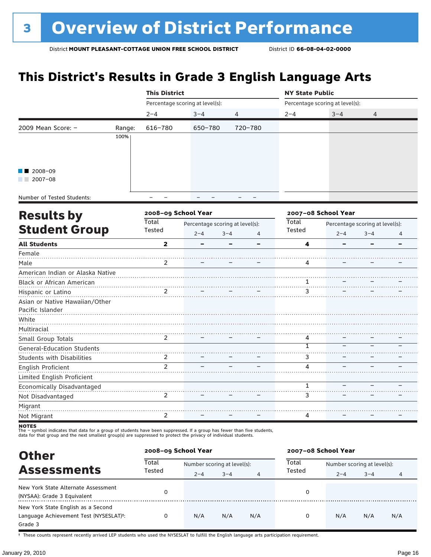### **This District's Results in Grade 3 English Language Arts**

|                               |        | <b>This District</b> |                                 |                | <b>NY State Public</b> |                                                              |  |  |
|-------------------------------|--------|----------------------|---------------------------------|----------------|------------------------|--------------------------------------------------------------|--|--|
|                               |        |                      | Percentage scoring at level(s): |                |                        | Percentage scoring at level(s):<br>$3 - 4$<br>$\overline{4}$ |  |  |
|                               |        | $2 - 4$              | $3 - 4$                         | $\overline{4}$ | $2 - 4$                |                                                              |  |  |
| 2009 Mean Score: -<br>2007-08 | Range: | 616-780              | 650-780                         | 720-780        |                        |                                                              |  |  |
|                               | 100%   |                      |                                 |                |                        |                                                              |  |  |
|                               |        |                      |                                 |                |                        |                                                              |  |  |
|                               |        |                      |                                 |                |                        |                                                              |  |  |
| $\blacksquare$ 2008-09        |        |                      |                                 |                |                        |                                                              |  |  |
|                               |        |                      |                                 |                |                        |                                                              |  |  |
| Number of Tooled Chidente.    |        |                      |                                 |                |                        |                                                              |  |  |

Number of Tested Students:

| <b>Results by</b>                 |                 | 2008-09 School Year                                   |  |   |   | 2007-08 School Year<br><b>Total</b><br>Percentage scoring at level(s):<br>Tested<br>$2 - 4$<br>$3 - 4$<br>4 |  |  |  |
|-----------------------------------|-----------------|-------------------------------------------------------|--|---|---|-------------------------------------------------------------------------------------------------------------|--|--|--|
| <b>Student Group</b>              | Total<br>Tested | Percentage scoring at level(s):<br>$2 - 4$<br>$3 - 4$ |  | 4 |   |                                                                                                             |  |  |  |
| <b>All Students</b>               | $\overline{2}$  | -                                                     |  |   | 4 |                                                                                                             |  |  |  |
| Female                            |                 |                                                       |  |   |   |                                                                                                             |  |  |  |
| Male                              | 2               |                                                       |  |   | 4 |                                                                                                             |  |  |  |
| American Indian or Alaska Native  |                 |                                                       |  |   |   |                                                                                                             |  |  |  |
| Black or African American         |                 |                                                       |  |   |   |                                                                                                             |  |  |  |
| Hispanic or Latino                | $\mathfrak{D}$  |                                                       |  |   |   |                                                                                                             |  |  |  |
| Asian or Native Hawaiian/Other    |                 |                                                       |  |   |   |                                                                                                             |  |  |  |
| Pacific Islander                  |                 |                                                       |  |   |   |                                                                                                             |  |  |  |
| White                             |                 |                                                       |  |   |   |                                                                                                             |  |  |  |
| Multiracial                       |                 |                                                       |  |   |   |                                                                                                             |  |  |  |
| Small Group Totals                | 2               |                                                       |  |   | 4 |                                                                                                             |  |  |  |
| General-Education Students        |                 |                                                       |  |   |   |                                                                                                             |  |  |  |
| <b>Students with Disabilities</b> | 2               |                                                       |  |   | 3 |                                                                                                             |  |  |  |
| English Proficient                | $\mathcal{P}$   |                                                       |  |   | Λ |                                                                                                             |  |  |  |
| Limited English Proficient        |                 |                                                       |  |   |   |                                                                                                             |  |  |  |
| Economically Disadvantaged        |                 |                                                       |  |   |   |                                                                                                             |  |  |  |
| Not Disadvantaged                 | $\mathcal{P}$   |                                                       |  |   | 3 |                                                                                                             |  |  |  |
| Migrant                           |                 |                                                       |  |   |   |                                                                                                             |  |  |  |
| Not Migrant                       | 2               |                                                       |  |   | 4 |                                                                                                             |  |  |  |
| $\cdots$                          |                 |                                                       |  |   |   |                                                                                                             |  |  |  |

**NOTES**<br>The – symbol indicates that data for a group of students have been suppressed. If a group has fewer than five students,<br>data for that group and the next smallest group(s) are suppressed to protect the privacy of in

| <b>Other</b>                                                                                         | 2008-09 School Year |                             |         |     | 2007-08 School Year |     | Number scoring at level(s):<br>$3 - 4$<br>$2 - 4$<br>4 |     |  |  |  |
|------------------------------------------------------------------------------------------------------|---------------------|-----------------------------|---------|-----|---------------------|-----|--------------------------------------------------------|-----|--|--|--|
|                                                                                                      | Total<br>Tested     | Number scoring at level(s): |         |     | Total               |     |                                                        |     |  |  |  |
| <b>Assessments</b>                                                                                   |                     | $2 - 4$                     | $3 - 4$ | 4   | Tested              |     |                                                        |     |  |  |  |
| New York State Alternate Assessment<br>(NYSAA): Grade 3 Equivalent                                   | 0                   |                             |         |     | 0                   |     |                                                        |     |  |  |  |
| New York State English as a Second<br>Language Achievement Test (NYSESLAT) <sup>+</sup> :<br>Grade 3 | 0                   | N/A                         | N/A     | N/A | 0                   | N/A | N/A                                                    | N/A |  |  |  |

† These counts represent recently arrived LEP students who used the NYSESLAT to fulfill the English language arts participation requirement.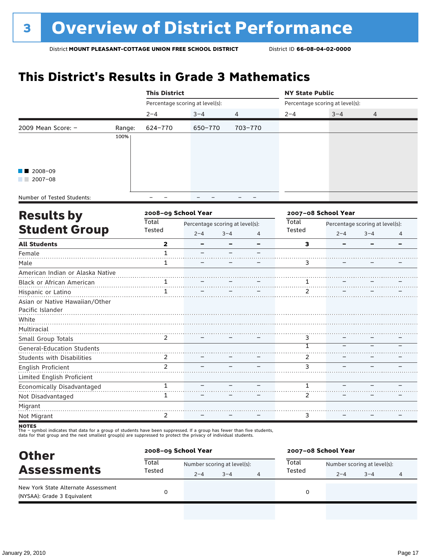### **This District's Results in Grade 3 Mathematics**

|                                                                              |        | <b>This District</b>            |         |                | <b>NY State Public</b> |                                 |                |  |
|------------------------------------------------------------------------------|--------|---------------------------------|---------|----------------|------------------------|---------------------------------|----------------|--|
|                                                                              |        | Percentage scoring at level(s): |         |                |                        | Percentage scoring at level(s): |                |  |
|                                                                              |        | $2 - 4$                         | $3 - 4$ | $\overline{4}$ | $2 - 4$                | $3 - 4$                         | $\overline{4}$ |  |
| 2009 Mean Score: -<br>$\blacksquare$ 2008-09<br>2007-08<br><b>STATISTICS</b> | Range: | 624-770                         | 650-770 | 703-770        |                        |                                 |                |  |
|                                                                              | 100%   |                                 |         |                |                        |                                 |                |  |
|                                                                              |        |                                 |         |                |                        |                                 |                |  |
|                                                                              |        |                                 |         |                |                        |                                 |                |  |
|                                                                              |        |                                 |         |                |                        |                                 |                |  |
|                                                                              |        |                                 |         |                |                        |                                 |                |  |
| Number of Tostad Students                                                    |        |                                 |         |                |                        |                                 |                |  |

Number of Tested Students:

| <b>Results by</b>                 |                 | 2008-09 School Year |                                 |   |       | 2007-08 School Year<br>Percentage scoring at level(s):<br>Tested<br>$2 - 4$<br>$3 - 4$<br>4<br>3<br>3 |  |  |  |
|-----------------------------------|-----------------|---------------------|---------------------------------|---|-------|-------------------------------------------------------------------------------------------------------|--|--|--|
| <b>Student Group</b>              | Total<br>Tested |                     | Percentage scoring at level(s): |   | Total |                                                                                                       |  |  |  |
|                                   |                 | $2 - 4$             | $3 - 4$                         | 4 |       |                                                                                                       |  |  |  |
| <b>All Students</b>               | 2               |                     |                                 |   |       |                                                                                                       |  |  |  |
| Female                            | 1               |                     |                                 |   |       |                                                                                                       |  |  |  |
| Male                              | 1               |                     |                                 |   |       |                                                                                                       |  |  |  |
| American Indian or Alaska Native  |                 |                     |                                 |   |       |                                                                                                       |  |  |  |
| Black or African American         |                 |                     |                                 |   |       |                                                                                                       |  |  |  |
| Hispanic or Latino                |                 |                     |                                 |   |       |                                                                                                       |  |  |  |
| Asian or Native Hawaiian/Other    |                 |                     |                                 |   |       |                                                                                                       |  |  |  |
| Pacific Islander                  |                 |                     |                                 |   |       |                                                                                                       |  |  |  |
| White                             |                 |                     |                                 |   |       |                                                                                                       |  |  |  |
| Multiracial                       |                 |                     |                                 |   |       |                                                                                                       |  |  |  |
| Small Group Totals                | $\mathcal{P}$   |                     |                                 |   | 3     |                                                                                                       |  |  |  |
| <b>General-Education Students</b> |                 |                     |                                 |   |       |                                                                                                       |  |  |  |
| <b>Students with Disabilities</b> | 2               |                     |                                 |   | 2     |                                                                                                       |  |  |  |
| English Proficient                | $\mathfrak{p}$  |                     |                                 |   | 3     |                                                                                                       |  |  |  |
| Limited English Proficient        |                 |                     |                                 |   |       |                                                                                                       |  |  |  |
| Economically Disadvantaged        | 1               |                     |                                 |   |       |                                                                                                       |  |  |  |
| Not Disadvantaged                 | 1               |                     |                                 |   | 2     |                                                                                                       |  |  |  |
| Migrant                           |                 |                     |                                 |   |       |                                                                                                       |  |  |  |
| Not Migrant                       | 2               |                     |                                 |   | 3     |                                                                                                       |  |  |  |
|                                   |                 |                     |                                 |   |       |                                                                                                       |  |  |  |

| <b>Other</b>                                                       | 2008-09 School Year |                             |         |   | 2007-08 School Year                  |         |         |   |
|--------------------------------------------------------------------|---------------------|-----------------------------|---------|---|--------------------------------------|---------|---------|---|
| <b>Assessments</b>                                                 | Total<br>Tested     | Number scoring at level(s): |         |   | Total<br>Number scoring at level(s): |         |         |   |
|                                                                    |                     | $2 - 4$                     | $3 - 4$ | 4 | Tested                               | $2 - 4$ | $3 - 4$ | 4 |
| New York State Alternate Assessment<br>(NYSAA): Grade 3 Equivalent |                     |                             |         |   | 0                                    |         |         |   |
|                                                                    |                     |                             |         |   |                                      |         |         |   |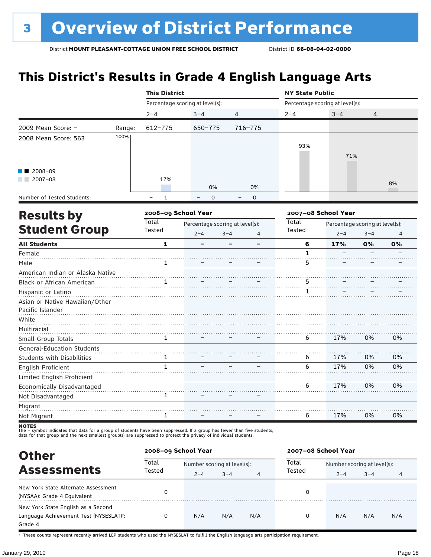### **This District's Results in Grade 4 English Language Arts**

|                                   |        | <b>This District</b> |                                                                             |                | <b>NY State Public</b>          |                     |         |                |  |
|-----------------------------------|--------|----------------------|-----------------------------------------------------------------------------|----------------|---------------------------------|---------------------|---------|----------------|--|
|                                   |        |                      | Percentage scoring at level(s):                                             |                | Percentage scoring at level(s): |                     |         |                |  |
|                                   |        | $2 - 4$              | $3 - 4$                                                                     | $\overline{4}$ | $2 - 4$                         | $3 - 4$             | 4       |                |  |
| 2009 Mean Score: $-$              | Range: | $612 - 775$          | $650 - 775$                                                                 | $716 - 775$    |                                 |                     |         |                |  |
| 2008 Mean Score: 563              | 100%   |                      |                                                                             |                |                                 |                     |         |                |  |
|                                   |        |                      |                                                                             |                | 93%                             |                     |         |                |  |
|                                   |        |                      |                                                                             |                |                                 | 71%                 |         |                |  |
| 2008-09                           |        |                      |                                                                             |                |                                 |                     |         |                |  |
| $2007 - 08$                       |        | 17%                  |                                                                             |                |                                 |                     |         | 8%             |  |
|                                   |        |                      | 0%                                                                          | 0%             |                                 |                     |         |                |  |
| Number of Tested Students:        |        | $\mathbf{1}$         | $\Omega$                                                                    | $\mathbf 0$    |                                 |                     |         |                |  |
| <b>Results by</b>                 |        | 2008-09 School Year  |                                                                             |                |                                 | 2007-08 School Year |         |                |  |
|                                   |        | Total                | Total<br>Percentage scoring at level(s):<br>Percentage scoring at level(s): |                |                                 |                     |         |                |  |
| <b>Student Group</b>              |        | Tested               | $2 - 4$                                                                     | $3 - 4$<br>4   | Tested                          | $2 - 4$             | $3 - 4$ | $\overline{4}$ |  |
| <b>All Students</b>               |        | $\mathbf{1}$         |                                                                             | -              | 6                               | 17%                 | 0%      | 0%             |  |
| Female                            |        |                      |                                                                             |                | $\mathbf{1}$                    |                     |         |                |  |
| Male                              |        | 1                    |                                                                             |                | 5                               |                     |         |                |  |
| American Indian or Alaska Native  |        |                      |                                                                             |                |                                 |                     |         |                |  |
| Black or African American         |        | 1                    |                                                                             |                | 5                               |                     |         |                |  |
| Hispanic or Latino                |        |                      |                                                                             |                | 1                               |                     |         |                |  |
| Asian or Native Hawaiian/Other    |        |                      |                                                                             |                |                                 |                     |         |                |  |
| Pacific Islander                  |        |                      |                                                                             |                |                                 |                     |         |                |  |
| White                             |        |                      |                                                                             |                |                                 |                     |         |                |  |
| Multiracial                       |        |                      |                                                                             |                |                                 |                     |         |                |  |
| Small Group Totals                |        | 1                    |                                                                             |                | 6                               | 17%                 | 0%      | 0%             |  |
| <b>General-Education Students</b> |        |                      |                                                                             |                |                                 |                     |         |                |  |
| <b>Students with Disabilities</b> |        | 1                    |                                                                             |                | 6                               | 17%                 | 0%      | 0%             |  |
| English Proficient                |        | $\mathbf{1}$         |                                                                             |                | 6                               | 17%                 | 0%      | 0%             |  |
| Limited English Proficient        |        |                      |                                                                             |                |                                 |                     |         |                |  |
| Economically Disadvantaged        |        |                      |                                                                             |                | 6                               | 17%                 | 0%      | 0%             |  |
| Not Disadvantaged                 |        | $\mathbf{1}$         |                                                                             |                |                                 |                     |         |                |  |
| Migrant                           |        |                      |                                                                             |                |                                 |                     |         |                |  |
| Not Migrant                       |        | 1                    |                                                                             |                | 6                               | 17%                 | 0%      | 0%             |  |

**NOTES**<br>The – symbol indicates that data for a group of students have been suppressed. If a group has fewer than five students,<br>data for that group and the next smallest group(s) are suppressed to protect the privacy of in

| <b>Other</b>                                                                                         | 2008-09 School Year |                             |         |     | 2007-08 School Year                  |     | $3 - 4$<br>$2 - 4$<br>4 |     |  |  |
|------------------------------------------------------------------------------------------------------|---------------------|-----------------------------|---------|-----|--------------------------------------|-----|-------------------------|-----|--|--|
|                                                                                                      | Total               | Number scoring at level(s): |         |     | Total<br>Number scoring at level(s): |     |                         |     |  |  |
| <b>Assessments</b>                                                                                   | Tested              | $2 - 4$                     | $3 - 4$ | 4   | Tested                               |     |                         |     |  |  |
| New York State Alternate Assessment<br>(NYSAA): Grade 4 Equivalent                                   |                     |                             |         |     | 0                                    |     |                         |     |  |  |
| New York State English as a Second<br>Language Achievement Test (NYSESLAT) <sup>+</sup> :<br>Grade 4 |                     | N/A                         | N/A     | N/A | 0                                    | N/A | N/A                     | N/A |  |  |

† These counts represent recently arrived LEP students who used the NYSESLAT to fulfill the English language arts participation requirement.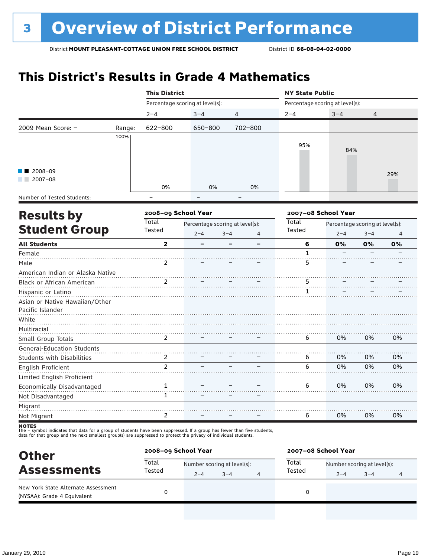## **This District's Results in Grade 4 Mathematics**

|                            |        | <b>This District</b>            |         |                |                                 | <b>NY State Public</b> |     |  |  |  |
|----------------------------|--------|---------------------------------|---------|----------------|---------------------------------|------------------------|-----|--|--|--|
|                            |        | Percentage scoring at level(s): |         |                | Percentage scoring at level(s): |                        |     |  |  |  |
|                            |        | $2 - 4$                         | $3 - 4$ | $\overline{4}$ | $2 - 4$                         | $3 - 4$                | 4   |  |  |  |
| 2009 Mean Score: $-$       | Range: | 622-800                         | 650-800 | 702-800        |                                 |                        |     |  |  |  |
|                            | 100%   |                                 |         |                |                                 |                        |     |  |  |  |
|                            |        |                                 |         |                | 95%                             | 84%                    |     |  |  |  |
|                            |        |                                 |         |                |                                 |                        |     |  |  |  |
|                            |        |                                 |         |                |                                 |                        |     |  |  |  |
| $\blacksquare$ 2008-09     |        |                                 |         |                |                                 |                        | 29% |  |  |  |
| 2007-08                    |        |                                 |         |                |                                 |                        |     |  |  |  |
|                            |        | 0%                              | 0%      | 0%             |                                 |                        |     |  |  |  |
| Number of Tested Students: |        | -                               |         | -              |                                 |                        |     |  |  |  |

| <b>Results by</b>                 |                         | 2008-09 School Year |                                 |   |        | 2007-08 School Year<br>Percentage scoring at level(s):<br>$2 - 4$<br>$3 - 4$<br>$\overline{4}$<br>6<br>0%<br>0%<br>0%<br>5<br>5 |    |    |  |
|-----------------------------------|-------------------------|---------------------|---------------------------------|---|--------|---------------------------------------------------------------------------------------------------------------------------------|----|----|--|
|                                   | Total                   |                     | Percentage scoring at level(s): |   | Total  |                                                                                                                                 |    |    |  |
| <b>Student Group</b>              | Tested                  | $2 - 4$             | $3 - 4$                         | 4 | Tested |                                                                                                                                 |    |    |  |
| <b>All Students</b>               | $\overline{\mathbf{2}}$ | -                   |                                 |   |        |                                                                                                                                 |    |    |  |
| Female                            |                         |                     |                                 |   |        |                                                                                                                                 |    |    |  |
| Male                              | 2                       |                     |                                 |   |        |                                                                                                                                 |    |    |  |
| American Indian or Alaska Native  |                         |                     |                                 |   |        |                                                                                                                                 |    |    |  |
| Black or African American         | $\overline{2}$          |                     |                                 |   |        |                                                                                                                                 |    |    |  |
| Hispanic or Latino                |                         |                     |                                 |   |        |                                                                                                                                 |    |    |  |
| Asian or Native Hawaiian/Other    |                         |                     |                                 |   |        |                                                                                                                                 |    |    |  |
| Pacific Islander                  |                         |                     |                                 |   |        |                                                                                                                                 |    |    |  |
| White                             |                         |                     |                                 |   |        |                                                                                                                                 |    |    |  |
| Multiracial                       |                         |                     |                                 |   |        |                                                                                                                                 |    |    |  |
| Small Group Totals                | $\mathcal{P}$           |                     |                                 |   | 6      | 0%                                                                                                                              | 0% | 0% |  |
| General-Education Students        |                         |                     |                                 |   |        |                                                                                                                                 |    |    |  |
| <b>Students with Disabilities</b> | 2                       |                     |                                 |   | 6      | 0%                                                                                                                              | 0% | 0% |  |
| English Proficient                | $\mathcal{P}$           |                     |                                 |   | 6      | 0%                                                                                                                              | 0% | 0% |  |
| Limited English Proficient        |                         |                     |                                 |   |        |                                                                                                                                 |    |    |  |
| Economically Disadvantaged        | 1                       |                     |                                 |   | 6      | 0%                                                                                                                              | 0% | 0% |  |
| Not Disadvantaged                 | 1                       |                     |                                 |   |        |                                                                                                                                 |    |    |  |
| Migrant                           |                         |                     |                                 |   |        |                                                                                                                                 |    |    |  |
| Not Migrant                       | 2                       |                     |                                 |   | 6      | 0%                                                                                                                              | 0% | 0% |  |
|                                   |                         |                     |                                 |   |        |                                                                                                                                 |    |    |  |

| <b>Other</b>                                                       | 2008-09 School Year |                             |         |   | 2007-08 School Year |                             |         |   |
|--------------------------------------------------------------------|---------------------|-----------------------------|---------|---|---------------------|-----------------------------|---------|---|
| <b>Assessments</b>                                                 | Total               | Number scoring at level(s): |         |   | Total               | Number scoring at level(s): |         |   |
|                                                                    | Tested              | $2 - 4$                     | $3 - 4$ | 4 | Tested              | $2 - 4$                     | $3 - 4$ | 4 |
| New York State Alternate Assessment<br>(NYSAA): Grade 4 Equivalent |                     |                             |         |   | 0                   |                             |         |   |
|                                                                    |                     |                             |         |   |                     |                             |         |   |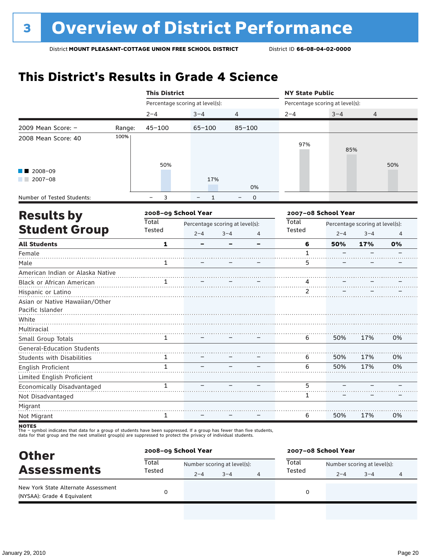### **This District's Results in Grade 4 Science**

|                                                    |        | <b>This District</b>   |                                                       |             |                        | <b>NY State Public</b>          |                                            |     |  |
|----------------------------------------------------|--------|------------------------|-------------------------------------------------------|-------------|------------------------|---------------------------------|--------------------------------------------|-----|--|
|                                                    |        |                        | Percentage scoring at level(s):                       |             |                        | Percentage scoring at level(s): |                                            |     |  |
|                                                    |        | $2 - 4$                | $3 - 4$                                               | 4           | $2 - 4$                | $3 - 4$                         | 4                                          |     |  |
| 2009 Mean Score: -                                 | Range: | $45 - 100$             | $65 - 100$                                            | $85 - 100$  |                        |                                 |                                            |     |  |
| 2008 Mean Score: 40                                | 100%   |                        |                                                       |             | 97%                    | 85%                             |                                            |     |  |
| 2008-09<br>$2007 - 08$                             |        | 50%                    | 17%                                                   | 0%          |                        |                                 |                                            | 50% |  |
| Number of Tested Students:                         |        | 3<br>$\equiv$          | $\mathbf{1}$                                          | $\mathbf 0$ |                        |                                 |                                            |     |  |
|                                                    |        | 2008-09 School Year    |                                                       |             |                        | 2007-08 School Year             |                                            |     |  |
| <b>Results by</b><br><b>Student Group</b>          |        | <b>Total</b><br>Tested | Percentage scoring at level(s):<br>$2 - 4$<br>$3 - 4$ |             | <b>Total</b><br>Tested | $2 - 4$                         | Percentage scoring at level(s):<br>$3 - 4$ | 4   |  |
| <b>All Students</b>                                |        | $\mathbf{1}$           |                                                       |             | 6                      | 50%                             | 17%                                        | 0%  |  |
| Female                                             |        |                        |                                                       |             | $\mathbf{1}$           |                                 |                                            |     |  |
| Male                                               |        | 1                      |                                                       |             | 5                      |                                 |                                            |     |  |
| American Indian or Alaska Native                   |        |                        |                                                       |             |                        |                                 |                                            |     |  |
| Black or African American                          |        |                        |                                                       |             | 4                      |                                 |                                            |     |  |
| Hispanic or Latino                                 |        |                        |                                                       |             | 2                      |                                 |                                            |     |  |
| Asian or Native Hawaiian/Other<br>Pacific Islander |        |                        |                                                       |             |                        |                                 |                                            |     |  |
| White<br>Multiracial                               |        |                        |                                                       |             |                        |                                 |                                            |     |  |
| Small Group Totals                                 |        | 1                      |                                                       |             | 6                      | 50%                             | 17%                                        | 0%  |  |
| <b>General-Education Students</b>                  |        |                        |                                                       |             |                        |                                 |                                            |     |  |
| <b>Students with Disabilities</b>                  |        | 1                      |                                                       |             | 6                      | 50%                             | 17%                                        | 0%  |  |
| <b>English Proficient</b>                          |        | $\mathbf{1}$           |                                                       |             | 6                      | 50%                             | 17%                                        | 0%  |  |
| Limited English Proficient                         |        |                        |                                                       |             |                        |                                 |                                            |     |  |
| Economically Disadvantaged                         |        | $\mathbf{1}$           |                                                       |             | 5                      |                                 |                                            |     |  |
| Not Disadvantaged                                  |        |                        |                                                       |             | 1                      |                                 |                                            |     |  |
| Migrant                                            |        |                        |                                                       |             |                        |                                 |                                            |     |  |
| Not Migrant                                        |        | 1                      |                                                       |             | 6                      | 50%                             | 17%                                        | 0%  |  |

| <b>Other</b>                                                       | 2008-09 School Year |                             |         |   | 2007-08 School Year |                             |         |  |
|--------------------------------------------------------------------|---------------------|-----------------------------|---------|---|---------------------|-----------------------------|---------|--|
| <b>Assessments</b>                                                 | Total<br>Tested     | Number scoring at level(s): |         |   | Total               | Number scoring at level(s): |         |  |
|                                                                    |                     | $2 - 4$                     | $3 - 4$ | 4 | Tested              | $2 - 4$                     | $3 - 4$ |  |
| New York State Alternate Assessment<br>(NYSAA): Grade 4 Equivalent |                     |                             |         |   |                     |                             |         |  |
|                                                                    |                     |                             |         |   |                     |                             |         |  |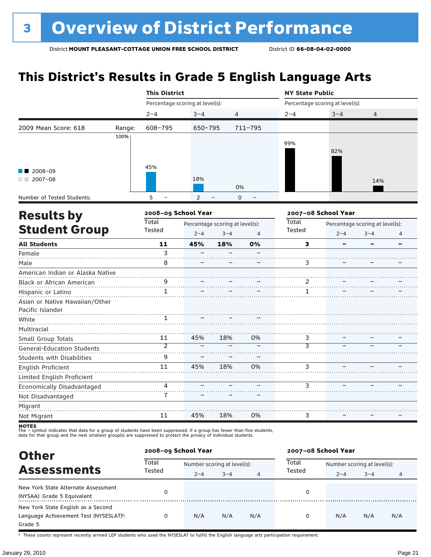## **This District's Results in Grade 5 English Language Arts**

|                                   |        | <b>This District</b>            |                |                                 |             | <b>NY State Public</b> |                                 |                                 |   |  |
|-----------------------------------|--------|---------------------------------|----------------|---------------------------------|-------------|------------------------|---------------------------------|---------------------------------|---|--|
|                                   |        | Percentage scoring at level(s): |                |                                 |             |                        | Percentage scoring at level(s): |                                 |   |  |
|                                   |        | $2 - 4$                         | $3 - 4$        | 4                               |             | $2 - 4$                | $3 - 4$                         | 4                               |   |  |
| 2009 Mean Score: 618              | Range: | 608-795                         | 650-795        |                                 | $711 - 795$ |                        |                                 |                                 |   |  |
|                                   | 100%   |                                 |                |                                 |             |                        |                                 |                                 |   |  |
|                                   |        |                                 |                |                                 |             | 99%                    | 82%                             |                                 |   |  |
|                                   |        |                                 |                |                                 |             |                        |                                 |                                 |   |  |
| 2008-09                           |        | 45%                             |                |                                 |             |                        |                                 |                                 |   |  |
| $2007 - 08$                       |        |                                 | 18%            |                                 |             |                        |                                 | 14%                             |   |  |
|                                   |        |                                 |                | 0%                              |             |                        |                                 |                                 |   |  |
| Number of Tested Students:        |        | 5                               | $\overline{2}$ | $\mathbf 0$                     |             |                        |                                 |                                 |   |  |
| <b>Results by</b>                 |        | 2008-09 School Year             |                |                                 |             |                        | 2007-08 School Year             |                                 |   |  |
|                                   |        | <b>Total</b>                    |                | Percentage scoring at level(s): |             |                        |                                 | Percentage scoring at level(s): |   |  |
| <b>Student Group</b>              |        | Tested                          | $2 - 4$        | $3 - 4$                         | 4           | Tested                 | $2 - 4$                         | $3 - 4$                         | 4 |  |
| <b>All Students</b>               |        | 11                              | 45%            | 18%                             | 0%          | 3                      |                                 |                                 |   |  |
| Female                            |        | 3                               |                |                                 |             |                        |                                 |                                 |   |  |
| Male                              |        | 8                               |                |                                 |             | 3                      |                                 |                                 |   |  |
| American Indian or Alaska Native  |        |                                 |                |                                 |             |                        |                                 |                                 |   |  |
| Black or African American         |        | 9                               |                |                                 |             | 2                      |                                 |                                 |   |  |
| Hispanic or Latino                |        | $\mathbf{1}$                    |                |                                 |             | 1                      |                                 |                                 |   |  |
| Asian or Native Hawaiian/Other    |        |                                 |                |                                 |             |                        |                                 |                                 |   |  |
| Pacific Islander                  |        |                                 |                |                                 |             |                        |                                 |                                 |   |  |
| White                             |        | 1.                              |                |                                 |             |                        |                                 |                                 |   |  |
| Multiracial                       |        |                                 |                |                                 |             |                        |                                 |                                 |   |  |
| Small Group Totals                |        | 11                              | 45%            | 18%                             | 0%          | 3                      |                                 |                                 |   |  |
| <b>General-Education Students</b> |        | $\overline{\mathcal{C}}$        |                |                                 |             | $\overline{3}$         |                                 |                                 |   |  |
| <b>Students with Disabilities</b> |        | 9                               |                |                                 |             |                        |                                 |                                 |   |  |
| English Proficient                |        | 11                              | 45%            | 18%                             | 0%          | 3                      |                                 |                                 |   |  |
| Limited English Proficient        |        |                                 |                |                                 |             |                        |                                 |                                 |   |  |
| Economically Disadvantaged        |        | 4                               |                |                                 |             | 3                      |                                 |                                 |   |  |
| Not Disadvantaged                 |        | 7                               |                |                                 |             |                        |                                 |                                 |   |  |
| Migrant                           |        |                                 |                |                                 |             |                        |                                 |                                 |   |  |
| Not Migrant                       |        | 11                              | 45%            | 18%                             | 0%          | 3                      |                                 |                                 |   |  |

**NOTES**<br>The – symbol indicates that data for a group of students have been suppressed. If a group has fewer than five students,<br>data for that group and the next smallest group(s) are suppressed to protect the privacy of in

**Other Assessments**<br>Assessments Tested  $\frac{1}{2-4}$  and  $\frac{1}{2-4}$  and  $\frac{1}{2}$  Tested  $\frac{1}{2-4}$  and  $\frac{1}{2-4}$  and  $\frac{1}{2-4}$  and  $\frac{1}{2-4}$  and  $\frac{1}{2-4}$  and  $\frac{1}{2-4}$  and  $\frac{1}{2-4}$  and  $\frac{1}{2-4}$  and  $\frac{1}{2-4}$  $2-4$   $3-4$   $4$   $1 \le 3 \le 4$   $2-4$   $3-4$   $4$ **2008–09 School Year 2007–08 School Year Total** Tested **Total** Tested New York State Alternate Assessment (NYSAA): Grade 5 Equivalent<br>(NYSAA): Grade 5 Equivalent (NYSAA): Grade 5 Equivalent (NYSAA): Grade 5 Equivalent (NYSAA): Grade 5 Equivalent New York State English as a Second Language Achievement Test (NYSESLAT)†: Grade 5 0 N/A N/A N/A 0 N/A N/A N/A

† These counts represent recently arrived LEP students who used the NYSESLAT to fulfill the English language arts participation requirement.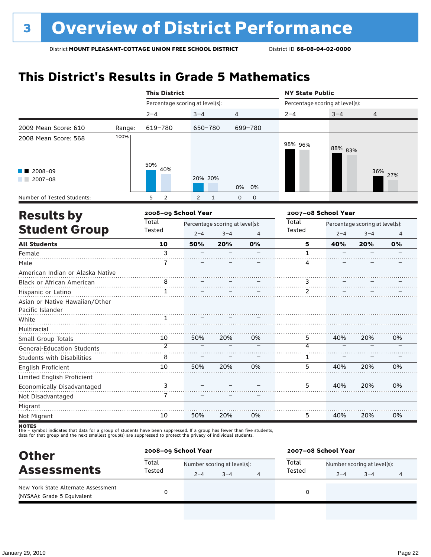## **This District's Results in Grade 5 Mathematics**

|                                   |        | <b>This District</b> |                                                                                                                                                                                                                                                                                                                                                                                                                                                                                                                                                                                                                                                  |     |    | <b>NY State Public</b> |     |                |                |  |  |
|-----------------------------------|--------|----------------------|--------------------------------------------------------------------------------------------------------------------------------------------------------------------------------------------------------------------------------------------------------------------------------------------------------------------------------------------------------------------------------------------------------------------------------------------------------------------------------------------------------------------------------------------------------------------------------------------------------------------------------------------------|-----|----|------------------------|-----|----------------|----------------|--|--|
|                                   |        |                      | Percentage scoring at level(s):<br>Percentage scoring at level(s):<br>$3 - 4$<br>$3 - 4$<br>4<br>$2 - 4$<br>699-780<br>650-780<br>98% 96%<br>88% 83%<br>50%<br>40%<br>20% 20%<br>0%<br>0%<br>$\overline{2}$<br>$\mathbf{1}$<br>$\mathbf 0$<br>0<br>2<br>2008-09 School Year<br>2007-08 School Year<br>Total<br>Percentage scoring at level(s):<br>Percentage scoring at level(s):<br>Tested<br>$2 - 4$<br>$3 - 4$<br>$2 - 4$<br>$\overline{4}$<br>10<br>50%<br>20%<br>0%<br>5<br>40%<br>3<br>$\mathbf{1}$<br>7<br>4<br>8<br>3<br>2<br>$\mathbf{1}$<br>50%<br>40%<br>10<br>20%<br>0%<br>5<br>$\overline{2}$<br>$\overline{\mathcal{A}}$<br>8<br>1 |     |    |                        |     |                |                |  |  |
|                                   |        | $2 - 4$              |                                                                                                                                                                                                                                                                                                                                                                                                                                                                                                                                                                                                                                                  |     |    |                        |     | $\overline{4}$ |                |  |  |
| 2009 Mean Score: 610              | Range: | 619-780              |                                                                                                                                                                                                                                                                                                                                                                                                                                                                                                                                                                                                                                                  |     |    |                        |     |                |                |  |  |
| 2008 Mean Score: 568              | 100%   |                      |                                                                                                                                                                                                                                                                                                                                                                                                                                                                                                                                                                                                                                                  |     |    |                        |     |                |                |  |  |
| 2008-09<br>$2007 - 08$            |        |                      |                                                                                                                                                                                                                                                                                                                                                                                                                                                                                                                                                                                                                                                  |     |    |                        |     |                | 36% 27%        |  |  |
| Number of Tested Students:        |        | 5                    |                                                                                                                                                                                                                                                                                                                                                                                                                                                                                                                                                                                                                                                  |     |    |                        |     |                |                |  |  |
| <b>Results by</b>                 |        |                      |                                                                                                                                                                                                                                                                                                                                                                                                                                                                                                                                                                                                                                                  |     |    |                        |     |                |                |  |  |
|                                   |        | Total                |                                                                                                                                                                                                                                                                                                                                                                                                                                                                                                                                                                                                                                                  |     |    |                        |     |                |                |  |  |
| <b>Student Group</b>              |        | Tested               |                                                                                                                                                                                                                                                                                                                                                                                                                                                                                                                                                                                                                                                  |     |    |                        |     | $3 - 4$        | $\overline{4}$ |  |  |
| <b>All Students</b>               |        |                      |                                                                                                                                                                                                                                                                                                                                                                                                                                                                                                                                                                                                                                                  |     |    |                        |     | 20%            | 0%             |  |  |
| Female                            |        |                      |                                                                                                                                                                                                                                                                                                                                                                                                                                                                                                                                                                                                                                                  |     |    |                        |     |                |                |  |  |
| Male                              |        |                      |                                                                                                                                                                                                                                                                                                                                                                                                                                                                                                                                                                                                                                                  |     |    |                        |     |                |                |  |  |
| American Indian or Alaska Native  |        |                      |                                                                                                                                                                                                                                                                                                                                                                                                                                                                                                                                                                                                                                                  |     |    |                        |     |                |                |  |  |
| Black or African American         |        |                      |                                                                                                                                                                                                                                                                                                                                                                                                                                                                                                                                                                                                                                                  |     |    |                        |     |                |                |  |  |
| Hispanic or Latino                |        |                      |                                                                                                                                                                                                                                                                                                                                                                                                                                                                                                                                                                                                                                                  |     |    |                        |     |                |                |  |  |
| Asian or Native Hawaiian/Other    |        |                      |                                                                                                                                                                                                                                                                                                                                                                                                                                                                                                                                                                                                                                                  |     |    |                        |     |                |                |  |  |
| Pacific Islander                  |        |                      |                                                                                                                                                                                                                                                                                                                                                                                                                                                                                                                                                                                                                                                  |     |    |                        |     |                |                |  |  |
| White                             |        |                      |                                                                                                                                                                                                                                                                                                                                                                                                                                                                                                                                                                                                                                                  |     |    |                        |     |                |                |  |  |
| Multiracial                       |        |                      |                                                                                                                                                                                                                                                                                                                                                                                                                                                                                                                                                                                                                                                  |     |    |                        |     |                |                |  |  |
| Small Group Totals                |        |                      |                                                                                                                                                                                                                                                                                                                                                                                                                                                                                                                                                                                                                                                  |     |    |                        |     | 20%            | 0%             |  |  |
| <b>General-Education Students</b> |        |                      |                                                                                                                                                                                                                                                                                                                                                                                                                                                                                                                                                                                                                                                  |     |    |                        |     |                |                |  |  |
| <b>Students with Disabilities</b> |        |                      |                                                                                                                                                                                                                                                                                                                                                                                                                                                                                                                                                                                                                                                  |     |    |                        |     |                |                |  |  |
| <b>English Proficient</b>         |        | 10                   | 50%                                                                                                                                                                                                                                                                                                                                                                                                                                                                                                                                                                                                                                              | 20% | 0% | 5                      | 40% | 20%            | 0%             |  |  |
| Limited English Proficient        |        |                      |                                                                                                                                                                                                                                                                                                                                                                                                                                                                                                                                                                                                                                                  |     |    |                        |     |                |                |  |  |
| Economically Disadvantaged        |        | 3                    |                                                                                                                                                                                                                                                                                                                                                                                                                                                                                                                                                                                                                                                  |     |    | 5                      | 40% | 20%            | 0%             |  |  |
| Not Disadvantaged                 |        | 7                    |                                                                                                                                                                                                                                                                                                                                                                                                                                                                                                                                                                                                                                                  |     |    |                        |     |                |                |  |  |
| Migrant                           |        |                      |                                                                                                                                                                                                                                                                                                                                                                                                                                                                                                                                                                                                                                                  |     |    |                        |     |                |                |  |  |
| Not Migrant                       |        | 10                   | 50%                                                                                                                                                                                                                                                                                                                                                                                                                                                                                                                                                                                                                                              | 20% | 0% | 5                      | 40% | 20%            | 0%             |  |  |

| <b>Other</b>                                                       | 2008-09 School Year |         |                             |   | 2007-08 School Year |                             |         |   |  |
|--------------------------------------------------------------------|---------------------|---------|-----------------------------|---|---------------------|-----------------------------|---------|---|--|
| <b>Assessments</b>                                                 | Total<br>Tested     |         | Number scoring at level(s): |   |                     | Number scoring at level(s): |         |   |  |
|                                                                    |                     | $2 - 4$ | $3 - 4$                     | 4 | Tested              | $2 - 4$                     | $3 - 4$ | 4 |  |
| New York State Alternate Assessment<br>(NYSAA): Grade 5 Equivalent |                     |         |                             |   | 0                   |                             |         |   |  |
|                                                                    |                     |         |                             |   |                     |                             |         |   |  |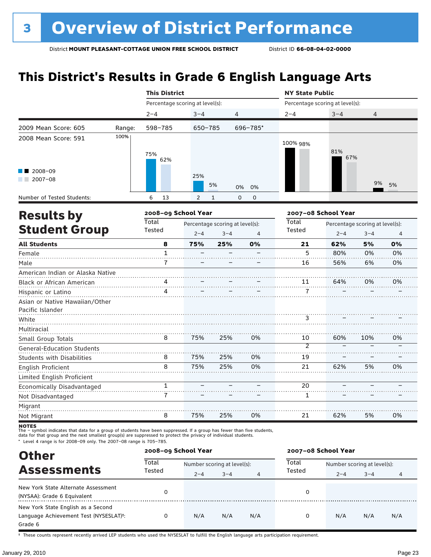## **This District's Results in Grade 6 English Language Arts**

|                                   |        | <b>This District</b>            |                |                                 |                | <b>NY State Public</b>          |                     |                                 |                |  |
|-----------------------------------|--------|---------------------------------|----------------|---------------------------------|----------------|---------------------------------|---------------------|---------------------------------|----------------|--|
|                                   |        | Percentage scoring at level(s): |                |                                 |                | Percentage scoring at level(s): |                     |                                 |                |  |
|                                   |        | $2 - 4$                         | $3 - 4$        | 4                               |                | $2 - 4$                         | $3 - 4$             | 4                               |                |  |
| 2009 Mean Score: 605              | Range: | 598-785                         | $650 - 785$    |                                 | 696-785*       |                                 |                     |                                 |                |  |
| 2008 Mean Score: 591              | 100%   | 75%<br>62%                      |                |                                 |                | 100% 98%                        | 81%<br>67%          |                                 |                |  |
| 2008-09<br>$12007 - 08$           |        |                                 | 25%            | 5%                              | 0%<br>0%       |                                 |                     | 9%                              | 5%             |  |
| Number of Tested Students:        |        | 6<br>13                         | $\overline{2}$ | $\mathbf{1}$                    | 0<br>0         |                                 |                     |                                 |                |  |
| <b>Results by</b>                 |        |                                 |                | 2008-09 School Year             |                |                                 | 2007-08 School Year |                                 |                |  |
|                                   |        | <b>Total</b>                    |                | Percentage scoring at level(s): |                |                                 |                     | Percentage scoring at level(s): |                |  |
| <b>Student Group</b>              |        | Tested                          | $2 - 4$        | $3 - 4$                         | $\overline{4}$ | Tested                          | $2 - 4$             | $3 - 4$                         | $\overline{4}$ |  |
| <b>All Students</b>               |        | 8                               | 75%            | 25%                             | 0%             | 21                              | 62%                 | 5%                              | 0%             |  |
| Female                            |        | $\mathbf{1}$                    |                |                                 |                | 5                               | 80%                 | 0%                              | 0%             |  |
| Male                              |        | 7                               |                |                                 |                | 16                              | 56%                 | 6%                              | 0%             |  |
| American Indian or Alaska Native  |        |                                 |                |                                 |                |                                 |                     |                                 |                |  |
| Black or African American         |        | 4                               |                |                                 |                | 11                              | 64%                 | 0%                              | 0%             |  |
| Hispanic or Latino                |        | 4                               |                |                                 |                | 7                               |                     |                                 |                |  |
| Asian or Native Hawaiian/Other    |        |                                 |                |                                 |                |                                 |                     |                                 |                |  |
| Pacific Islander                  |        |                                 |                |                                 |                |                                 |                     |                                 |                |  |
| White                             |        |                                 |                |                                 |                | 3                               |                     |                                 |                |  |
| Multiracial                       |        |                                 |                |                                 |                |                                 |                     |                                 |                |  |
| Small Group Totals                |        | 8                               | 75%            | 25%                             | 0%             | 10<br>$\overline{2}$            | 60%                 | 10%                             | 0%             |  |
| <b>General-Education Students</b> |        |                                 |                |                                 |                |                                 |                     |                                 |                |  |
| <b>Students with Disabilities</b> |        | 8                               | 75%            | 25%                             | 0%             | 19                              |                     |                                 |                |  |
| <b>English Proficient</b>         |        | 8                               | 75%            | 25%                             | 0%             | 21                              | 62%                 | 5%                              | 0%             |  |
| Limited English Proficient        |        |                                 |                |                                 |                |                                 |                     |                                 |                |  |
| Economically Disadvantaged        |        | $\mathbf{1}$                    |                |                                 |                | 20                              |                     |                                 |                |  |
| Not Disadvantaged                 |        | $\overline{7}$                  |                |                                 |                | $\mathbf{1}$                    |                     |                                 |                |  |
| Migrant                           |        |                                 |                |                                 |                |                                 |                     |                                 |                |  |
| Not Migrant                       |        | 8                               | 75%            | 25%                             | 0%             | 21                              | 62%                 | 5%                              | 0%             |  |

**NOTES**<br>The – symbol indicates that data for a group of students have been suppressed. If a group has fewer than five students,<br>data for that group and the next smallest group(s) are suppressed to protect the privacy of in

\* Level 4 range is for 2008–09 only. The 2007–08 range is 705–785.

| <b>Other</b>                                                                                         |                 | 2008-09 School Year         |         |     | 2007-08 School Year |                             |         |     |
|------------------------------------------------------------------------------------------------------|-----------------|-----------------------------|---------|-----|---------------------|-----------------------------|---------|-----|
| <b>Assessments</b>                                                                                   | Total<br>Tested | Number scoring at level(s): |         |     | Total               | Number scoring at level(s): |         |     |
|                                                                                                      |                 | $2 - 4$                     | $3 - 4$ | 4   | Tested              | $2 - 4$                     | $3 - 4$ | 4   |
| New York State Alternate Assessment<br>(NYSAA): Grade 6 Equivalent                                   |                 |                             |         |     | 0                   |                             |         |     |
| New York State English as a Second<br>Language Achievement Test (NYSESLAT) <sup>+</sup> :<br>Grade 6 | 0               | N/A                         | N/A     | N/A | 0                   | N/A                         | N/A     | N/A |

† These counts represent recently arrived LEP students who used the NYSESLAT to fulfill the English language arts participation requirement.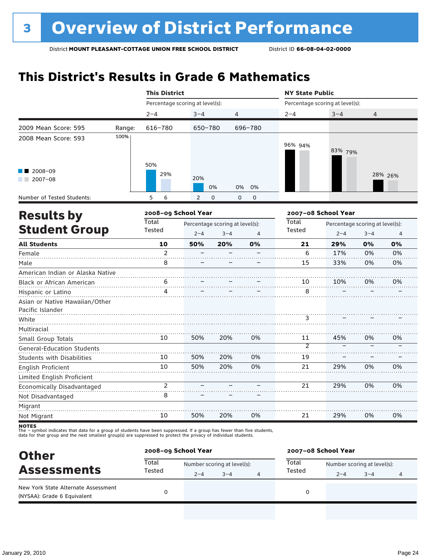## **This District's Results in Grade 6 Mathematics**

|                                   |        | <b>This District</b>            |                     |                                 |                            | <b>NY State Public</b>          |                                 |         |                |  |  |
|-----------------------------------|--------|---------------------------------|---------------------|---------------------------------|----------------------------|---------------------------------|---------------------------------|---------|----------------|--|--|
|                                   |        | Percentage scoring at level(s): |                     |                                 |                            | Percentage scoring at level(s): |                                 |         |                |  |  |
|                                   |        | $2 - 4$                         | $3 - 4$             | 4                               |                            | $2 - 4$                         | $3 - 4$                         | 4       |                |  |  |
| 2009 Mean Score: 595              | Range: | 616-780                         | 650-780             |                                 | 696-780                    |                                 |                                 |         |                |  |  |
| 2008 Mean Score: 593              | 100%   |                                 |                     |                                 |                            | 96% 94%                         | 83% 79%                         |         |                |  |  |
| 2008-09<br>$2007 - 08$            |        | 50%<br>29%                      | 20%                 | 0%                              | 0%<br>0%                   |                                 |                                 |         | 28% 26%        |  |  |
| Number of Tested Students:        |        | 5<br>6                          | 2                   | $\Omega$                        | $\mathbf 0$<br>$\mathbf 0$ |                                 |                                 |         |                |  |  |
| <b>Results by</b>                 |        |                                 | 2008-09 School Year |                                 |                            |                                 | 2007-08 School Year             |         |                |  |  |
|                                   |        | <b>Total</b>                    |                     | Percentage scoring at level(s): |                            | Total                           | Percentage scoring at level(s): |         |                |  |  |
| <b>Student Group</b>              |        | Tested                          | $2 - 4$             | $3 - 4$                         | $\overline{4}$             | Tested                          | $2 - 4$                         | $3 - 4$ | $\overline{4}$ |  |  |
| <b>All Students</b>               |        | 10                              | 50%                 | 20%                             | 0%                         | 21                              | 29%                             | 0%      | 0%             |  |  |
| Female                            |        | $\mathfrak{p}$                  |                     |                                 |                            | 6                               | 17%                             | 0%      | 0%             |  |  |
| Male                              |        | 8                               |                     |                                 |                            | 15                              | 33%                             | 0%      | 0%             |  |  |
| American Indian or Alaska Native  |        |                                 |                     |                                 |                            |                                 |                                 |         |                |  |  |
| Black or African American         |        | 6                               |                     |                                 |                            | 10                              | 10%                             | 0%      | 0%             |  |  |
| Hispanic or Latino                |        | Δ                               |                     |                                 |                            | 8                               |                                 |         |                |  |  |
| Asian or Native Hawaiian/Other    |        |                                 |                     |                                 |                            |                                 |                                 |         |                |  |  |
| Pacific Islander                  |        |                                 |                     |                                 |                            |                                 |                                 |         |                |  |  |
| White                             |        |                                 |                     |                                 |                            | 3                               |                                 |         |                |  |  |
| Multiracial                       |        |                                 |                     |                                 |                            |                                 |                                 |         |                |  |  |
| Small Group Totals                |        | 10                              | 50%                 | 20%                             | 0%                         | 11                              | 45%                             | 0%      | 0%             |  |  |
| <b>General-Education Students</b> |        |                                 |                     |                                 |                            | $\overline{2}$                  |                                 |         |                |  |  |
| <b>Students with Disabilities</b> |        | 10                              | 50%                 | 20%                             | 0%                         | 19                              |                                 |         |                |  |  |
| <b>English Proficient</b>         |        | 10                              | 50%                 | 20%                             | 0%                         | 21                              | 29%                             | 0%      | 0%             |  |  |
| Limited English Proficient        |        |                                 |                     |                                 |                            |                                 |                                 |         |                |  |  |
| Economically Disadvantaged        |        | $\overline{2}$                  |                     |                                 |                            | 21                              | 29%                             | 0%      | 0%             |  |  |
| Not Disadvantaged                 |        | 8                               |                     |                                 |                            |                                 |                                 |         |                |  |  |
| Migrant                           |        |                                 |                     |                                 |                            |                                 |                                 |         |                |  |  |
| Not Migrant                       |        | 10                              | 50%                 | 20%                             | 0%                         | 21                              | 29%                             | 0%      | 0%             |  |  |

| <b>Other</b>                                                       |                 | 2008-09 School Year         |         |   | 2007-08 School Year |                             |         |   |  |
|--------------------------------------------------------------------|-----------------|-----------------------------|---------|---|---------------------|-----------------------------|---------|---|--|
| <b>Assessments</b>                                                 | Total<br>Tested | Number scoring at level(s): |         |   | Total               | Number scoring at level(s): |         |   |  |
|                                                                    |                 | $2 - 4$                     | $3 - 4$ | 4 | Tested              | $2 - 4$                     | $3 - 4$ | 4 |  |
| New York State Alternate Assessment<br>(NYSAA): Grade 6 Equivalent |                 |                             |         |   |                     |                             |         |   |  |
|                                                                    |                 |                             |         |   |                     |                             |         |   |  |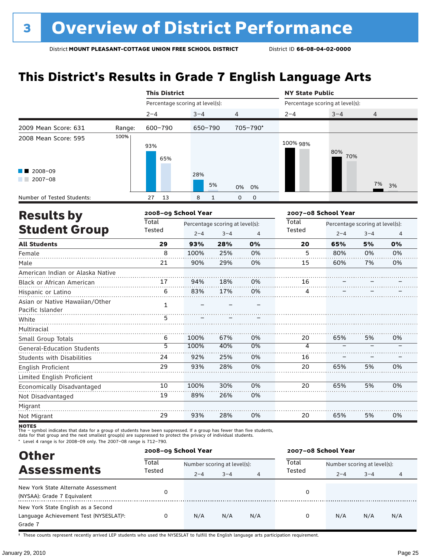## **This District's Results in Grade 7 English Language Arts**

|                                                    |        | <b>This District</b>            |         |                                 |                  | <b>NY State Public</b>          |                                 |                |    |  |
|----------------------------------------------------|--------|---------------------------------|---------|---------------------------------|------------------|---------------------------------|---------------------------------|----------------|----|--|
|                                                    |        | Percentage scoring at level(s): |         |                                 |                  | Percentage scoring at level(s): |                                 |                |    |  |
|                                                    |        | $2 - 4$                         | $3 - 4$ | $\overline{4}$                  |                  | $2 - 4$                         | $3 - 4$                         | $\overline{4}$ |    |  |
| 2009 Mean Score: 631                               | Range: | 600-790                         | 650-790 |                                 | 705-790*         |                                 |                                 |                |    |  |
| 2008 Mean Score: 595                               | 100%   | 93%<br>65%                      |         |                                 |                  | 100% 98%                        | 80%<br>70%                      |                |    |  |
| $\blacksquare$ 2008-09<br>$2007 - 08$              |        |                                 | 28%     | 5%                              | 0%<br>0%         |                                 |                                 | 7%             | 3% |  |
| Number of Tested Students:                         |        | 27<br>13                        | 8       | $\mathbf{1}$                    | 0<br>$\mathbf 0$ |                                 |                                 |                |    |  |
| <b>Results by</b>                                  |        | 2008-09 School Year             |         |                                 |                  |                                 | 2007-08 School Year             |                |    |  |
|                                                    |        | Total                           |         | Percentage scoring at level(s): |                  | Total                           | Percentage scoring at level(s): |                |    |  |
| <b>Student Group</b>                               |        | Tested                          | $2 - 4$ | $3 - 4$                         | $\overline{4}$   | Tested                          | $2 - 4$                         | $3 - 4$        | 4  |  |
| <b>All Students</b>                                |        | 29                              | 93%     | 28%                             | 0%               | 20                              | 65%                             | 5%             | 0% |  |
| Female                                             |        | 8                               | 100%    | 25%                             | 0%               | 5                               | 80%                             | 0%             | 0% |  |
| Male                                               |        | 21                              | 90%     | 29%                             | 0%               | 15                              | 60%                             | 7%             | 0% |  |
| American Indian or Alaska Native                   |        |                                 |         |                                 |                  |                                 |                                 |                |    |  |
| <b>Black or African American</b>                   |        | 17                              | 94%     | 18%                             | 0%               | 16                              |                                 |                |    |  |
| Hispanic or Latino                                 |        | 6                               | 83%     | 17%                             | 0%               | 4                               |                                 |                |    |  |
| Asian or Native Hawaiian/Other<br>Pacific Islander |        | $\mathbf{1}$                    |         |                                 |                  |                                 |                                 |                |    |  |
| White                                              |        | 5                               |         |                                 |                  |                                 |                                 |                |    |  |
| Multiracial                                        |        |                                 |         |                                 |                  |                                 |                                 |                |    |  |
| Small Group Totals                                 |        | 6                               | 100%    | 67%                             | 0%               | 20                              | 65%                             | 5%             | 0% |  |
| <b>General-Education Students</b>                  |        | $\overline{5}$                  | 100%    | 40%                             | 0%               | $\overline{4}$                  |                                 |                |    |  |
| <b>Students with Disabilities</b>                  |        | 24                              | 92%     | 25%                             | 0%               | 16                              |                                 |                |    |  |
| English Proficient<br>Limited English Proficient   |        | 29                              | 93%     | 28%                             | 0%               | 20                              | 65%                             | 5%             | 0% |  |
| Economically Disadvantaged                         |        | 10                              | 100%    | 30%                             | 0%               | 20                              | 65%                             | 5%             | 0% |  |
| Not Disadvantaged                                  |        | 19                              | 89%     | 26%                             | 0%               |                                 |                                 |                |    |  |
| Migrant                                            |        |                                 |         |                                 |                  |                                 |                                 |                |    |  |
| Not Migrant                                        |        | 29                              | 93%     | 28%                             | 0%               | 20                              | 65%                             | 5%             | 0% |  |

**NOTES**<br>The – symbol indicates that data for a group of students have been suppressed. If a group has fewer than five students,<br>data for that group and the next smallest group(s) are suppressed to protect the privacy of in

\* Level 4 range is for 2008–09 only. The 2007–08 range is 712–790.

| <b>Other</b>                                                                                         |                 | 2008-09 School Year         |         |     | 2007-08 School Year |                             |         |     |  |
|------------------------------------------------------------------------------------------------------|-----------------|-----------------------------|---------|-----|---------------------|-----------------------------|---------|-----|--|
| <b>Assessments</b>                                                                                   | Total<br>Tested | Number scoring at level(s): |         |     | Total<br>Tested     | Number scoring at level(s): |         |     |  |
|                                                                                                      |                 | $2 - 4$                     | $3 - 4$ | 4   |                     | $2 - 4$                     | $3 - 4$ | 4   |  |
| New York State Alternate Assessment<br>(NYSAA): Grade 7 Equivalent                                   | 0               |                             |         |     | 0                   |                             |         |     |  |
| New York State English as a Second<br>Language Achievement Test (NYSESLAT) <sup>+</sup> :<br>Grade 7 | 0               | N/A                         | N/A     | N/A | 0                   | N/A                         | N/A     | N/A |  |

† These counts represent recently arrived LEP students who used the NYSESLAT to fulfill the English language arts participation requirement.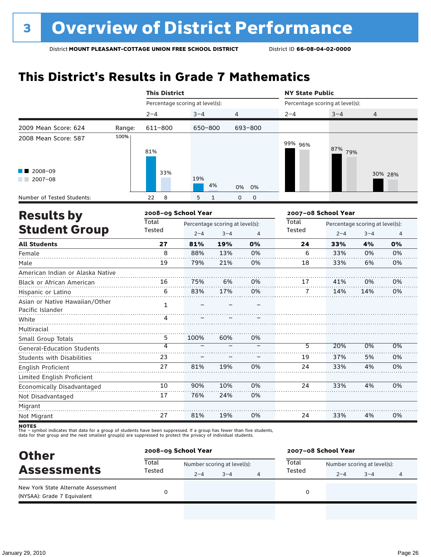## **This District's Results in Grade 7 Mathematics**

|        |                                                                                            |                     |                      |                                                  | <b>NY State Public</b>                                     |         |         |                                                                                                      |  |
|--------|--------------------------------------------------------------------------------------------|---------------------|----------------------|--------------------------------------------------|------------------------------------------------------------|---------|---------|------------------------------------------------------------------------------------------------------|--|
|        |                                                                                            |                     |                      |                                                  |                                                            |         |         |                                                                                                      |  |
|        | $2 - 4$                                                                                    | $3 - 4$             |                      |                                                  | $2 - 4$                                                    | $3 - 4$ | 4       |                                                                                                      |  |
| Range: | 611-800                                                                                    |                     |                      |                                                  |                                                            |         |         |                                                                                                      |  |
| 100%   | 81%                                                                                        |                     |                      |                                                  | 99% 96%                                                    |         |         |                                                                                                      |  |
|        | 33%                                                                                        | 19%                 |                      | 0%                                               |                                                            |         |         | 30% 28%                                                                                              |  |
|        | 22<br>8                                                                                    | 5                   | 1                    | 0                                                |                                                            |         |         |                                                                                                      |  |
|        |                                                                                            | 2008-09 School Year |                      |                                                  |                                                            |         |         |                                                                                                      |  |
|        | Total                                                                                      |                     |                      |                                                  | Total                                                      |         |         |                                                                                                      |  |
|        | Tested                                                                                     | $2 - 4$             | $3 - 4$              | 4                                                | Tested                                                     | $2 - 4$ | $3 - 4$ | $\overline{4}$                                                                                       |  |
|        | 27                                                                                         | 81%                 | 19%                  | 0%                                               | 24                                                         | 33%     | 4%      | 0%                                                                                                   |  |
|        | 8                                                                                          | 88%                 | 13%                  | 0%                                               | 6                                                          | 33%     | 0%      | 0%                                                                                                   |  |
|        | 19                                                                                         | 79%                 | 21%                  | 0%                                               | 18                                                         | 33%     | 6%      | 0%                                                                                                   |  |
|        |                                                                                            |                     |                      |                                                  |                                                            |         |         |                                                                                                      |  |
|        | 16                                                                                         | 75%                 | 6%                   | 0%                                               | 17                                                         | 41%     | 0%      | 0%                                                                                                   |  |
|        | 6                                                                                          | 83%                 | 17%                  | 0%                                               | 7                                                          | 14%     | 14%     | 0%                                                                                                   |  |
|        | 1                                                                                          |                     |                      |                                                  |                                                            |         |         |                                                                                                      |  |
|        | Δ                                                                                          |                     |                      |                                                  |                                                            |         |         |                                                                                                      |  |
|        |                                                                                            |                     |                      |                                                  |                                                            |         |         |                                                                                                      |  |
|        | 5                                                                                          | 100%                | 60%                  | 0%                                               |                                                            |         |         |                                                                                                      |  |
|        | $\overline{\bf 4}$                                                                         |                     |                      |                                                  | 5                                                          | 20%     | $0\%$   | $0\%$                                                                                                |  |
|        | 23                                                                                         |                     |                      |                                                  | 19                                                         | 37%     | 5%      | 0%                                                                                                   |  |
|        | 27                                                                                         | 81%                 | 19%                  | 0%                                               | 24                                                         | 33%     | 4%      | 0%                                                                                                   |  |
|        |                                                                                            |                     |                      |                                                  |                                                            |         |         |                                                                                                      |  |
|        | 10                                                                                         | 90%                 | 10%                  | 0%                                               | 24                                                         | 33%     | 4%      | 0%                                                                                                   |  |
|        | 17                                                                                         | 76%                 | 24%                  | 0%                                               |                                                            |         |         |                                                                                                      |  |
|        |                                                                                            |                     |                      |                                                  |                                                            |         |         |                                                                                                      |  |
|        | 27                                                                                         | 81%                 | 19%                  | 0%                                               | 24                                                         | 33%     | 4%      | 0%                                                                                                   |  |
|        | <b>Student Group</b><br>American Indian or Alaska Native<br>Asian or Native Hawaiian/Other |                     | <b>This District</b> | Percentage scoring at level(s):<br>650-800<br>4% | 4<br>693-800<br>0%<br>0<br>Percentage scoring at level(s): |         |         | Percentage scoring at level(s):<br>87% 79%<br>2007-08 School Year<br>Percentage scoring at level(s): |  |

| <b>Other</b>                                                       | 2008-09 School Year |                             |         |   | 2007-08 School Year |                             |         |  |  |
|--------------------------------------------------------------------|---------------------|-----------------------------|---------|---|---------------------|-----------------------------|---------|--|--|
| <b>Assessments</b>                                                 | Total<br>Tested     | Number scoring at level(s): |         |   | Total               | Number scoring at level(s): |         |  |  |
|                                                                    |                     | $2 - 4$                     | $3 - 4$ | 4 | Tested              | $2 - 4$                     | $3 - 4$ |  |  |
| New York State Alternate Assessment<br>(NYSAA): Grade 7 Equivalent |                     |                             |         |   |                     |                             |         |  |  |
|                                                                    |                     |                             |         |   |                     |                             |         |  |  |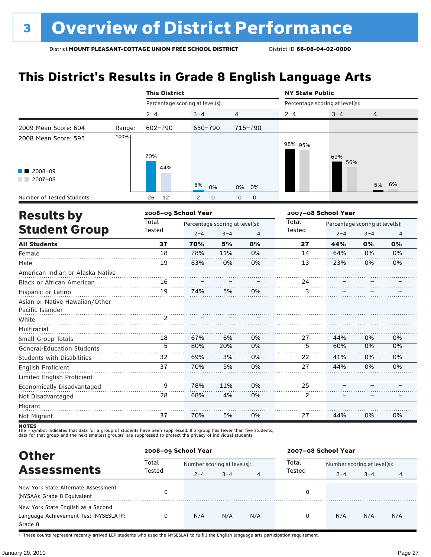## **This District's Results in Grade 8 English Language Arts**

|                                                    |        | <b>This District</b>            |                                            |                |                  | <b>NY State Public</b>          |                                            |         |    |
|----------------------------------------------------|--------|---------------------------------|--------------------------------------------|----------------|------------------|---------------------------------|--------------------------------------------|---------|----|
|                                                    |        | Percentage scoring at level(s): |                                            |                |                  | Percentage scoring at level(s): |                                            |         |    |
|                                                    |        | $2 - 4$                         | $3 - 4$                                    | $\overline{4}$ |                  | $2 - 4$                         | $3 - 4$                                    | 4       |    |
| 2009 Mean Score: 604                               | Range: | 602-790                         | 650-790                                    |                | 715-790          |                                 |                                            |         |    |
| 2008 Mean Score: 595                               | 100%   | 70%                             |                                            |                |                  | 98% 95%                         | 69%<br>56%                                 |         |    |
| 2008-09<br>$2007 - 08$                             |        | 44%                             | 5%                                         | 0%             | 0%<br>0%         |                                 |                                            | 5%      | 6% |
| Number of Tested Students:                         |        | 26<br>12                        | $\overline{2}$                             | 0              | $\mathbf 0$<br>0 |                                 |                                            |         |    |
|                                                    |        | 2008-09 School Year             |                                            |                |                  |                                 | 2007-08 School Year                        |         |    |
| <b>Results by</b><br><b>Student Group</b>          |        | Total<br>Tested                 | Percentage scoring at level(s):<br>$2 - 4$ | $3 - 4$        | 4                | Total<br>Tested                 | Percentage scoring at level(s):<br>$2 - 4$ | $3 - 4$ | 4  |
| <b>All Students</b>                                |        | 37                              | 70%                                        | 5%             | 0%               | 27                              | 44%                                        | 0%      | 0% |
| Female                                             |        | 18                              | 78%                                        | 11%            | 0%               | 14                              | 64%                                        | 0%      | 0% |
| Male                                               |        | 19                              | 63%                                        | 0%             | 0%               | 13                              | 23%                                        | 0%      | 0% |
| American Indian or Alaska Native                   |        |                                 |                                            |                |                  |                                 |                                            |         |    |
| Black or African American                          |        | 16                              |                                            |                |                  | 24                              |                                            |         |    |
| Hispanic or Latino                                 |        | 19                              | 74%                                        | 5%             | 0%               | 3                               |                                            |         |    |
| Asian or Native Hawaiian/Other<br>Pacific Islander |        |                                 |                                            |                |                  |                                 |                                            |         |    |
| White                                              |        | 2                               |                                            |                |                  |                                 |                                            |         |    |
| Multiracial<br>Small Group Totals                  |        | 18                              | 67%                                        | 6%             | 0%               | 27                              | 44%                                        | 0%      | 0% |
| <b>General-Education Students</b>                  |        | $\overline{5}$                  | 80%                                        | 20%            | 0%               | $\overline{5}$                  | 60%                                        | 0%      | 0% |
| <b>Students with Disabilities</b>                  |        | 32                              | 69%                                        | 3%             | 0%               | 22                              | 41%                                        | 0%      | 0% |
| English Proficient                                 |        | 37                              | 70%                                        | 5%             | 0%               | 27                              | 44%                                        | 0%      | 0% |
| Limited English Proficient                         |        |                                 |                                            |                |                  |                                 |                                            |         |    |
| Economically Disadvantaged                         |        | 9                               | 78%                                        | 11%            | 0%               | 25                              |                                            |         |    |
| Not Disadvantaged                                  |        | 28                              | 68%                                        | 4%             | 0%               | $\overline{c}$                  |                                            |         |    |
| Migrant                                            |        |                                 |                                            |                |                  |                                 |                                            |         |    |
| Not Migrant                                        |        | 37                              | 70%                                        | 5%             | 0%               | 27                              | 44%                                        | 0%      | 0% |

**NOTES**<br>The – symbol indicates that data for a group of students have been suppressed. If a group has fewer than five students,<br>data for that group and the next smallest group(s) are suppressed to protect the privacy of in

| <b>Other</b>                                        | 2008-09 School Year |                             |         |     |                                      | 2007-08 School Year |         |     |  |  |
|-----------------------------------------------------|---------------------|-----------------------------|---------|-----|--------------------------------------|---------------------|---------|-----|--|--|
| <b>Assessments</b>                                  | Total               | Number scoring at level(s): |         |     | Total<br>Number scoring at level(s): |                     |         |     |  |  |
|                                                     | Tested              | $2 - 4$                     | $3 - 4$ | 4   | Tested                               | $2 - 4$             | $3 - 4$ | 4   |  |  |
| New York State Alternate Assessment                 |                     |                             |         |     | 0                                    |                     |         |     |  |  |
| (NYSAA): Grade 8 Equivalent                         |                     |                             |         |     |                                      |                     |         |     |  |  |
| New York State English as a Second                  |                     |                             |         |     |                                      |                     |         |     |  |  |
| Language Achievement Test (NYSESLAT) <sup>+</sup> : | 0                   | N/A                         | N/A     | N/A | 0                                    | N/A                 | N/A     | N/A |  |  |
| Grade 8                                             |                     |                             |         |     |                                      |                     |         |     |  |  |

† These counts represent recently arrived LEP students who used the NYSESLAT to fulfill the English language arts participation requirement.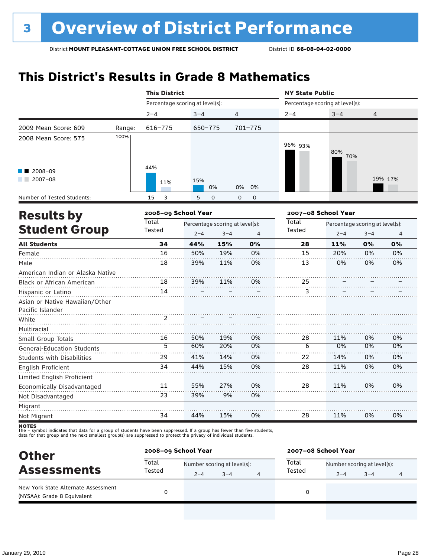## **This District's Results in Grade 8 Mathematics**

|                                                    |        |                                                                                                                                                                                                                                                                                                                                                                                                                                                                                                                                                                                                                                                                                                                                                                                                                                                                       |     |     |    | <b>NY State Public</b> |     |                |                |  |
|----------------------------------------------------|--------|-----------------------------------------------------------------------------------------------------------------------------------------------------------------------------------------------------------------------------------------------------------------------------------------------------------------------------------------------------------------------------------------------------------------------------------------------------------------------------------------------------------------------------------------------------------------------------------------------------------------------------------------------------------------------------------------------------------------------------------------------------------------------------------------------------------------------------------------------------------------------|-----|-----|----|------------------------|-----|----------------|----------------|--|
|                                                    |        | <b>This District</b><br>Percentage scoring at level(s):<br>Percentage scoring at level(s):<br>$2 - 4$<br>$3 - 4$<br>$\overline{4}$<br>$2 - 4$<br>$3 - 4$<br>$616 - 775$<br>701-775<br>650-775<br>96% 93%<br>80%<br>70%<br>44%<br>15%<br>11%<br>0%<br>0%<br>0%<br>15<br>3<br>5<br>$\mathbf 0$<br>0<br>$\mathbf 0$<br>2008-09 School Year<br>2007-08 School Year<br>Total<br>Total<br>Percentage scoring at level(s):<br>Percentage scoring at level(s):<br>Tested<br>Tested<br>$2 - 4$<br>$3 - 4$<br>$\overline{4}$<br>$2 - 4$<br>34<br>44%<br>15%<br>0%<br>28<br>11%<br>16<br>50%<br>19%<br>0%<br>15<br>20%<br>11%<br>0%<br>18<br>39%<br>0%<br>13<br>18<br>39%<br>11%<br>0%<br>25<br>14<br>3<br>50%<br>19%<br>0%<br>11%<br>16<br>28<br>5<br>60%<br>20%<br>$0\%$<br>$\overline{6}$<br>0%<br>14%<br>14%<br>29<br>41%<br>0%<br>22<br>34<br>44%<br>15%<br>0%<br>28<br>11% |     |     |    |                        |     |                |                |  |
|                                                    |        |                                                                                                                                                                                                                                                                                                                                                                                                                                                                                                                                                                                                                                                                                                                                                                                                                                                                       |     |     |    |                        |     | $\overline{4}$ |                |  |
| 2009 Mean Score: 609                               | Range: |                                                                                                                                                                                                                                                                                                                                                                                                                                                                                                                                                                                                                                                                                                                                                                                                                                                                       |     |     |    |                        |     |                |                |  |
| 2008 Mean Score: 575                               | 100%   |                                                                                                                                                                                                                                                                                                                                                                                                                                                                                                                                                                                                                                                                                                                                                                                                                                                                       |     |     |    |                        |     |                |                |  |
| 2008-09<br>$2007 - 08$                             |        |                                                                                                                                                                                                                                                                                                                                                                                                                                                                                                                                                                                                                                                                                                                                                                                                                                                                       |     |     |    |                        |     |                | 19% 17%        |  |
| Number of Tested Students:                         |        |                                                                                                                                                                                                                                                                                                                                                                                                                                                                                                                                                                                                                                                                                                                                                                                                                                                                       |     |     |    |                        |     |                |                |  |
|                                                    |        |                                                                                                                                                                                                                                                                                                                                                                                                                                                                                                                                                                                                                                                                                                                                                                                                                                                                       |     |     |    |                        |     |                |                |  |
|                                                    |        |                                                                                                                                                                                                                                                                                                                                                                                                                                                                                                                                                                                                                                                                                                                                                                                                                                                                       |     |     |    |                        |     |                |                |  |
| <b>Results by</b><br><b>Student Group</b>          |        |                                                                                                                                                                                                                                                                                                                                                                                                                                                                                                                                                                                                                                                                                                                                                                                                                                                                       |     |     |    |                        |     | $3 - 4$        | $\overline{4}$ |  |
| <b>All Students</b>                                |        |                                                                                                                                                                                                                                                                                                                                                                                                                                                                                                                                                                                                                                                                                                                                                                                                                                                                       |     |     |    |                        |     | 0%             | 0%             |  |
| Female                                             |        |                                                                                                                                                                                                                                                                                                                                                                                                                                                                                                                                                                                                                                                                                                                                                                                                                                                                       |     |     |    |                        |     | 0%             | 0%             |  |
| Male                                               |        |                                                                                                                                                                                                                                                                                                                                                                                                                                                                                                                                                                                                                                                                                                                                                                                                                                                                       |     |     |    |                        |     | 0%             | 0%             |  |
| American Indian or Alaska Native                   |        |                                                                                                                                                                                                                                                                                                                                                                                                                                                                                                                                                                                                                                                                                                                                                                                                                                                                       |     |     |    |                        |     |                |                |  |
| Black or African American                          |        |                                                                                                                                                                                                                                                                                                                                                                                                                                                                                                                                                                                                                                                                                                                                                                                                                                                                       |     |     |    |                        |     |                |                |  |
| Hispanic or Latino                                 |        |                                                                                                                                                                                                                                                                                                                                                                                                                                                                                                                                                                                                                                                                                                                                                                                                                                                                       |     |     |    |                        |     |                |                |  |
| Asian or Native Hawaiian/Other<br>Pacific Islander |        |                                                                                                                                                                                                                                                                                                                                                                                                                                                                                                                                                                                                                                                                                                                                                                                                                                                                       |     |     |    |                        |     |                |                |  |
| White                                              |        |                                                                                                                                                                                                                                                                                                                                                                                                                                                                                                                                                                                                                                                                                                                                                                                                                                                                       |     |     |    |                        |     |                |                |  |
| Multiracial                                        |        |                                                                                                                                                                                                                                                                                                                                                                                                                                                                                                                                                                                                                                                                                                                                                                                                                                                                       |     |     |    |                        |     |                |                |  |
| Small Group Totals                                 |        |                                                                                                                                                                                                                                                                                                                                                                                                                                                                                                                                                                                                                                                                                                                                                                                                                                                                       |     |     |    |                        |     | 0%             | 0%             |  |
| <b>General-Education Students</b>                  |        |                                                                                                                                                                                                                                                                                                                                                                                                                                                                                                                                                                                                                                                                                                                                                                                                                                                                       |     |     |    |                        |     | $0\%$          | $0\%$          |  |
| <b>Students with Disabilities</b>                  |        |                                                                                                                                                                                                                                                                                                                                                                                                                                                                                                                                                                                                                                                                                                                                                                                                                                                                       |     |     |    |                        |     | 0%             | 0%             |  |
| <b>English Proficient</b>                          |        |                                                                                                                                                                                                                                                                                                                                                                                                                                                                                                                                                                                                                                                                                                                                                                                                                                                                       |     |     |    |                        |     | 0%             | 0%             |  |
| Limited English Proficient                         |        |                                                                                                                                                                                                                                                                                                                                                                                                                                                                                                                                                                                                                                                                                                                                                                                                                                                                       |     |     |    |                        |     |                |                |  |
| Economically Disadvantaged                         |        | 11                                                                                                                                                                                                                                                                                                                                                                                                                                                                                                                                                                                                                                                                                                                                                                                                                                                                    | 55% | 27% | 0% | 28                     | 11% | 0%             | 0%             |  |
| Not Disadvantaged                                  |        | 23                                                                                                                                                                                                                                                                                                                                                                                                                                                                                                                                                                                                                                                                                                                                                                                                                                                                    | 39% | 9%  | 0% |                        |     |                |                |  |
| Migrant                                            |        |                                                                                                                                                                                                                                                                                                                                                                                                                                                                                                                                                                                                                                                                                                                                                                                                                                                                       |     |     |    |                        |     |                |                |  |
| Not Migrant                                        |        | 34                                                                                                                                                                                                                                                                                                                                                                                                                                                                                                                                                                                                                                                                                                                                                                                                                                                                    | 44% | 15% | 0% | 28                     | 11% | 0%             | 0%             |  |

| <b>Other</b>                                                       |                 | 2008-09 School Year         | 2007-08 School Year |   |                                      |         |         |   |
|--------------------------------------------------------------------|-----------------|-----------------------------|---------------------|---|--------------------------------------|---------|---------|---|
| <b>Assessments</b>                                                 | Total<br>Tested | Number scoring at level(s): |                     |   | Total<br>Number scoring at level(s): |         |         |   |
|                                                                    |                 | $2 - 4$                     | $3 - 4$             | 4 | Tested                               | $2 - 4$ | $3 - 4$ | 4 |
| New York State Alternate Assessment<br>(NYSAA): Grade 8 Equivalent |                 |                             |                     |   |                                      |         |         |   |
|                                                                    |                 |                             |                     |   |                                      |         |         |   |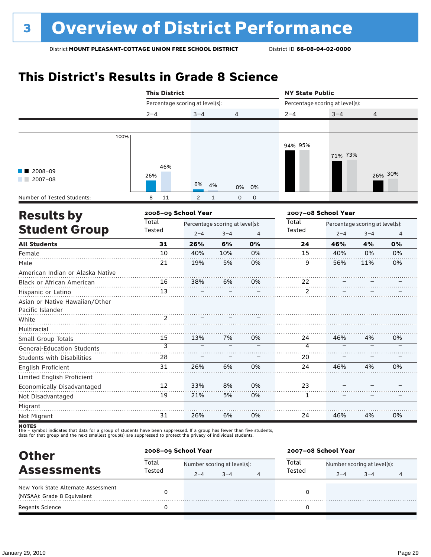## **This District's Results in Grade 8 Science**

|                                   | <b>This District</b>            |                |                                 |                | <b>NY State Public</b> |  |                                                                                                                                                                         |  |  |
|-----------------------------------|---------------------------------|----------------|---------------------------------|----------------|------------------------|--|-------------------------------------------------------------------------------------------------------------------------------------------------------------------------|--|--|
|                                   | Percentage scoring at level(s): |                |                                 |                |                        |  | $3 - 4$<br>4<br>71% 73%<br>$2 - 4$<br>$3 - 4$<br>46%<br>4%<br>40%<br>0%<br>56%<br>11%<br>46%<br>4%<br>46%<br>4%                                                         |  |  |
|                                   | $2 - 4$                         | $3 - 4$        | 4                               |                | $2 - 4$                |  |                                                                                                                                                                         |  |  |
|                                   |                                 |                |                                 |                |                        |  |                                                                                                                                                                         |  |  |
| 100%                              |                                 |                |                                 |                |                        |  |                                                                                                                                                                         |  |  |
|                                   |                                 |                |                                 |                | 94% 95%                |  |                                                                                                                                                                         |  |  |
|                                   |                                 |                |                                 |                |                        |  |                                                                                                                                                                         |  |  |
|                                   | 46%                             |                |                                 |                |                        |  |                                                                                                                                                                         |  |  |
| 2008-09                           | 26%                             |                |                                 |                |                        |  |                                                                                                                                                                         |  |  |
| $2007 - 08$                       |                                 | 6%             | 4%<br>0%                        | 0%             |                        |  |                                                                                                                                                                         |  |  |
| Number of Tested Students:        | 8<br>11                         | $\overline{2}$ | $\mathbf{1}$<br>$\mathbf 0$     | $\mathbf 0$    |                        |  |                                                                                                                                                                         |  |  |
|                                   | 2008-09 School Year             |                |                                 |                |                        |  |                                                                                                                                                                         |  |  |
| <b>Results by</b><br><b>Total</b> |                                 |                | Percentage scoring at level(s): |                | Total                  |  | Percentage scoring at level(s):<br>26% 30%<br>2007-08 School Year<br>Percentage scoring at level(s):<br>$\overline{4}$<br>0%<br>0%<br>0%<br>0%<br>0%<br>0%<br>46%<br>4% |  |  |
| <b>Student Group</b>              | Tested                          | $2 - 4$        | $3 - 4$                         | $\overline{4}$ | <b>Tested</b>          |  |                                                                                                                                                                         |  |  |
| <b>All Students</b>               | 31                              | 26%            | 6%                              | 0%             | 24                     |  |                                                                                                                                                                         |  |  |
| Female                            | 10                              | 40%            | 10%                             | 0%             | 15                     |  |                                                                                                                                                                         |  |  |
| Male                              | 21                              | 19%            | 5%                              | 0%             | 9                      |  |                                                                                                                                                                         |  |  |
| American Indian or Alaska Native  |                                 |                |                                 |                |                        |  |                                                                                                                                                                         |  |  |
| Black or African American         | 16                              | 38%            | 6%                              | 0%             | 22                     |  |                                                                                                                                                                         |  |  |
| Hispanic or Latino                | 13                              |                |                                 |                | $\overline{2}$         |  |                                                                                                                                                                         |  |  |
| Asian or Native Hawaiian/Other    |                                 |                |                                 |                |                        |  |                                                                                                                                                                         |  |  |
| Pacific Islander                  |                                 |                |                                 |                |                        |  |                                                                                                                                                                         |  |  |
| White                             | 2                               |                |                                 |                |                        |  |                                                                                                                                                                         |  |  |
| Multiracial                       |                                 |                |                                 |                |                        |  |                                                                                                                                                                         |  |  |
| Small Group Totals                | 15                              | 13%            | 7%                              | 0%             | 24                     |  |                                                                                                                                                                         |  |  |
| <b>General-Education Students</b> | $\overline{\mathbf{3}}$         |                |                                 |                | $\overline{4}$         |  |                                                                                                                                                                         |  |  |
| <b>Students with Disabilities</b> | 28                              |                |                                 |                | 20                     |  |                                                                                                                                                                         |  |  |
| <b>English Proficient</b>         | 31                              | 26%            | 6%                              | 0%             | 24                     |  |                                                                                                                                                                         |  |  |
| Limited English Proficient        |                                 |                |                                 |                |                        |  |                                                                                                                                                                         |  |  |
| Economically Disadvantaged        | 12                              | 33%            | 8%                              | 0%             | 23                     |  |                                                                                                                                                                         |  |  |
| Not Disadvantaged                 | 19                              | 21%            | 5%                              | 0%             | $\mathbf{1}$           |  |                                                                                                                                                                         |  |  |
| Migrant                           |                                 |                |                                 |                |                        |  |                                                                                                                                                                         |  |  |
| Not Migrant                       | 31                              | 26%            | 6%                              | 0%             | 24                     |  |                                                                                                                                                                         |  |  |

| <b>Other</b>                        | 2008-09 School Year |         |                             |   | 2007-08 School Year |                             |         |   |
|-------------------------------------|---------------------|---------|-----------------------------|---|---------------------|-----------------------------|---------|---|
| <b>Assessments</b>                  | Total<br>Tested     |         | Number scoring at level(s): |   | Total<br>Tested     | Number scoring at level(s): |         |   |
|                                     |                     | $2 - 4$ | $3 - 4$                     | 4 |                     | $2 - 4$                     | $3 - 4$ | 4 |
| New York State Alternate Assessment |                     |         |                             |   |                     |                             |         |   |
| (NYSAA): Grade 8 Equivalent         |                     |         |                             |   |                     |                             |         |   |
| <b>Regents Science</b>              |                     |         |                             |   |                     |                             |         |   |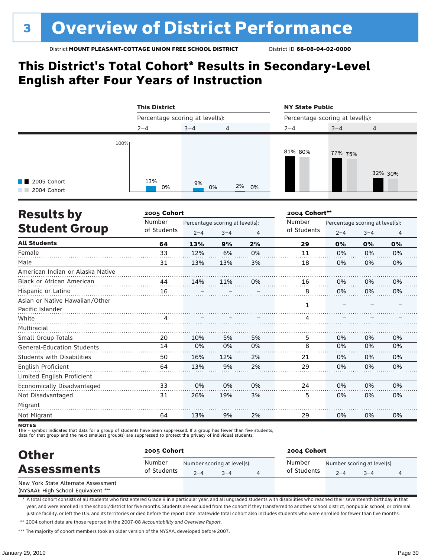### **This District's Total Cohort\* Results in Secondary-Level English after Four Years of Instruction**

|                                                     |      | <b>This District</b>            |          |       | <b>NY State Public</b><br>Percentage scoring at level(s): |         |         |  |
|-----------------------------------------------------|------|---------------------------------|----------|-------|-----------------------------------------------------------|---------|---------|--|
|                                                     |      | Percentage scoring at level(s): |          |       |                                                           |         |         |  |
|                                                     |      | $2 - 4$                         | $3 - 4$  | 4     | $2 - 4$                                                   | $3 - 4$ | 4       |  |
| $\blacksquare$ 2005 Cohort<br>2004 Cohort<br>a sa B | 100% | 13%<br>0%                       | 9%<br>0% | 2% 0% | 81% 80%                                                   | 77% 75% | 32% 30% |  |

| <b>Results by</b>                 | 2005 Cohort |         |                                 |    | 2004 Cohort** |                                 |         |    |
|-----------------------------------|-------------|---------|---------------------------------|----|---------------|---------------------------------|---------|----|
|                                   | Number      |         | Percentage scoring at level(s): |    | Number        | Percentage scoring at level(s): |         |    |
| <b>Student Group</b>              | of Students | $2 - 4$ | $3 - 4$                         | 4  | of Students   | $2 - 4$                         | $3 - 4$ | 4  |
| <b>All Students</b>               | 64          | 13%     | 9%                              | 2% | 29            | 0%                              | 0%      | 0% |
| Female                            | 33          | 12%     | 6%                              | 0% | 11            | 0%                              | 0%      | 0% |
| Male                              | 31          | 13%     | 13%                             | 3% | 18            | 0%                              | 0%      | 0% |
| American Indian or Alaska Native  |             |         |                                 |    |               |                                 |         |    |
| Black or African American         | 44          | 14%     | 11%                             | 0% | 16            | 0%                              | 0%      | 0% |
| Hispanic or Latino                | 16          |         |                                 |    | 8             | 0%                              | 0%      | 0% |
| Asian or Native Hawaiian/Other    |             |         |                                 |    |               |                                 |         |    |
| Pacific Islander                  |             |         |                                 |    | 1             |                                 |         |    |
| White                             |             |         |                                 |    | 4             |                                 |         |    |
| Multiracial                       |             |         |                                 |    |               |                                 |         |    |
| Small Group Totals                | 20          | 10%     | 5%                              | 5% | 5             | 0%                              | 0%      | 0% |
| <b>General-Education Students</b> | 14          | 0%      | 0%                              | 0% | 8             | 0%                              | 0%      | 0% |
| <b>Students with Disabilities</b> | 50          | 16%     | 12%                             | 2% | 21            | 0%                              | 0%      | 0% |
| English Proficient                | 64          | 13%     | 9%                              | 2% | 29            | 0%                              | 0%      | 0% |
| Limited English Proficient        |             |         |                                 |    |               |                                 |         |    |
| Economically Disadvantaged        | 33          | 0%      | 0%                              | 0% | 24            | 0%                              | 0%      | 0% |
| Not Disadvantaged                 | 31          | 26%     | 19%                             | 3% | 5             | 0%                              | 0%      | 0% |
| Migrant                           |             |         |                                 |    |               |                                 |         |    |
| Not Migrant                       | 64          | 13%     | 9%                              | 2% | 29            | 0%                              | 0%      | 0% |

**NOTES** 

The – symbol indicates that data for a group of students have been suppressed. If a group has fewer than five students,

data for that group and the next smallest group(s) are suppressed to protect the privacy of individual students.

| <b>Other</b>                        | 2005 Cohort           |         |                                        | 2004 Cohort           |         |                                     |  |  |
|-------------------------------------|-----------------------|---------|----------------------------------------|-----------------------|---------|-------------------------------------|--|--|
| <b>Assessments</b>                  | Number<br>of Students | $2 - 4$ | Number scoring at level(s):<br>$3 - 4$ | Number<br>of Students | $2 - 4$ | Number scoring at level(s):<br>$-4$ |  |  |
| New York State Alternate Assessment |                       |         |                                        |                       |         |                                     |  |  |

(NYSAA): High School Equivalent \*\*\*

\* A total cohort consists of all students who first entered Grade 9 in a particular year, and all ungraded students with disabilities who reached their seventeenth birthday in that year, and were enrolled in the school/district for five months. Students are excluded from the cohort if they transferred to another school district, nonpublic school, or criminal justice facility, or left the U.S. and its territories or died before the report date. Statewide total cohort also includes students who were enrolled for fewer than five months.

\*\* 2004 cohort data are those reported in the 2007-08 *Accountability and Overview Report*.

\*\*\* The majority of cohort members took an older version of the NYSAA, developed before 2007.